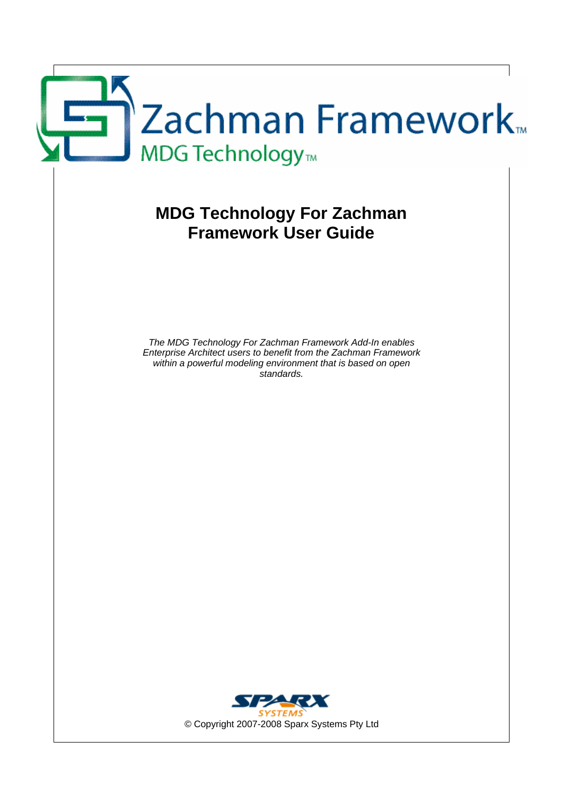

## **MDG Technology For Zachman Framework User Guide**

*The MDG Technology For Zachman Framework Add-In enables Enterprise Architect users to benefit from the Zachman Framework within a powerful modeling environment that is based on open standards.*

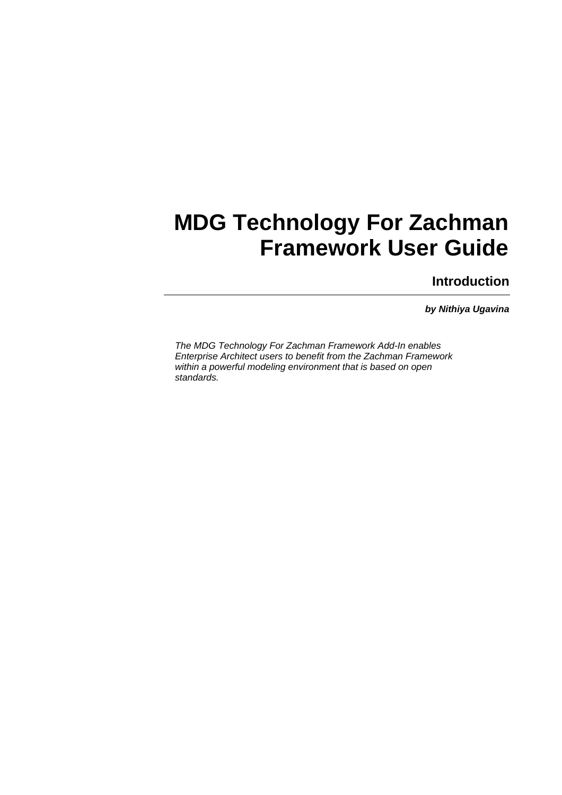## **MDG Technology For Zachman Framework User Guide**

**Introduction**

*by Nithiya Ugavina*

*The MDG Technology For Zachman Framework Add-In enables Enterprise Architect users to benefit from the Zachman Framework within a powerful modeling environment that is based on open standards.*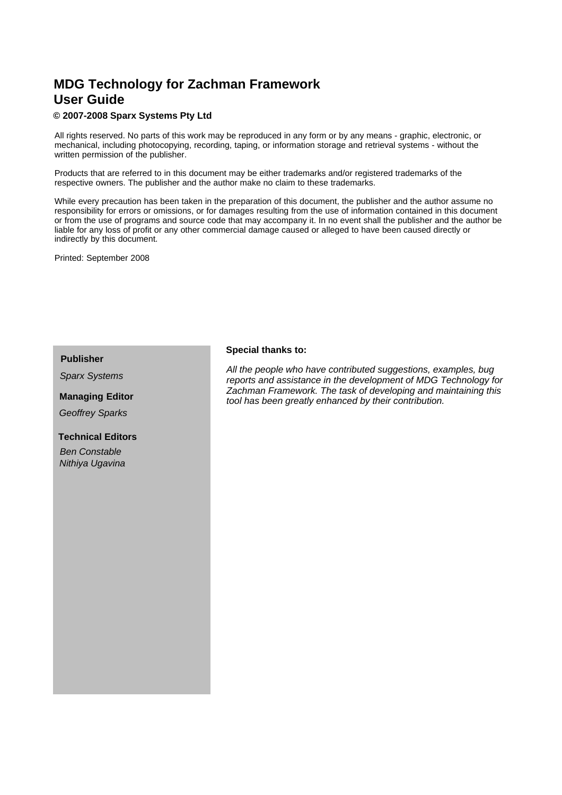## **MDG Technology for Zachman Framework User Guide**

#### **© 2007-2008 Sparx Systems Pty Ltd**

All rights reserved. No parts of this work may be reproduced in any form or by any means - graphic, electronic, or mechanical, including photocopying, recording, taping, or information storage and retrieval systems - without the written permission of the publisher.

Products that are referred to in this document may be either trademarks and/or registered trademarks of the respective owners. The publisher and the author make no claim to these trademarks.

While every precaution has been taken in the preparation of this document, the publisher and the author assume no responsibility for errors or omissions, or for damages resulting from the use of information contained in this document or from the use of programs and source code that may accompany it. In no event shall the publisher and the author be liable for any loss of profit or any other commercial damage caused or alleged to have been caused directly or indirectly by this document.

Printed: September 2008

*Sparx Systems*

*Geoffrey Sparks*

**Technical Editors** *Ben Constable Nithiya Ugavina*

## **Publisher Special thanks to:**

*All the people who have contributed suggestions, examples, bug reports and assistance in the development of MDG Technology for Zachman Framework. The task of developing and maintaining this tool has been greatly enhanced by their contribution.* **Managing Editor**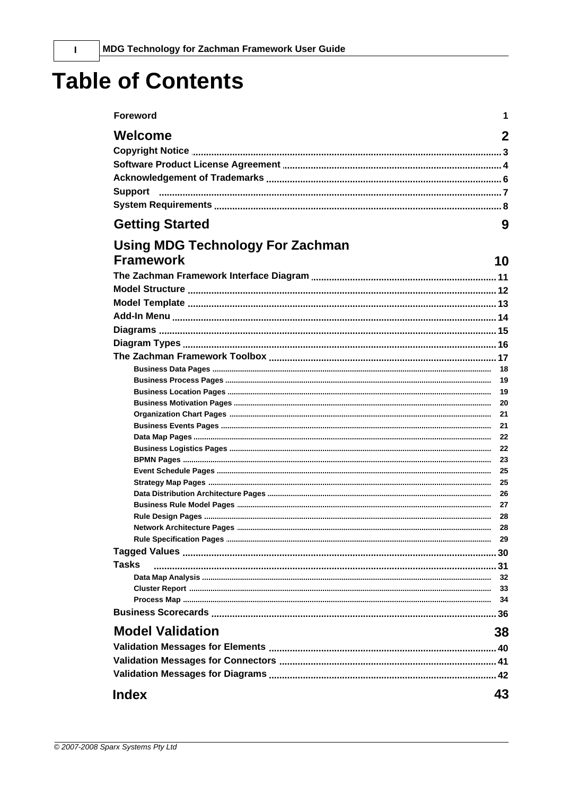## **Table of Contents**

| <b>Foreword</b>                         | 1        |
|-----------------------------------------|----------|
| Welcome                                 | 2        |
|                                         |          |
|                                         |          |
|                                         |          |
|                                         |          |
| <b>Support</b>                          |          |
|                                         |          |
| <b>Getting Started</b>                  | 9        |
| <b>Using MDG Technology For Zachman</b> |          |
| <b>Framework</b>                        | 10       |
|                                         |          |
|                                         |          |
|                                         |          |
|                                         |          |
|                                         |          |
|                                         |          |
|                                         |          |
|                                         |          |
|                                         |          |
|                                         |          |
|                                         | 19       |
|                                         | 20       |
|                                         | 21       |
|                                         | 21       |
|                                         | 22       |
|                                         | 22       |
|                                         | 23       |
|                                         | 25<br>25 |
|                                         | 26       |
|                                         | 27       |
|                                         | 28       |
|                                         | 28       |
|                                         |          |
|                                         |          |
| <b>Tasks</b>                            |          |
|                                         |          |
|                                         |          |
|                                         |          |
|                                         |          |
| <b>Model Validation</b>                 | 38       |
|                                         |          |
|                                         |          |
|                                         |          |
| <b>Index</b>                            | 43       |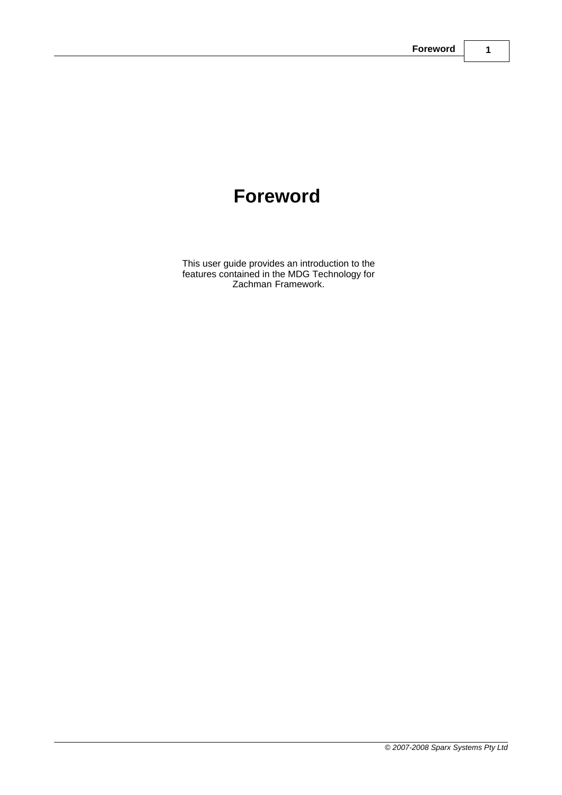## **Foreword**

This user guide provides an introduction to the features contained in the MDG Technology for Zachman Framework.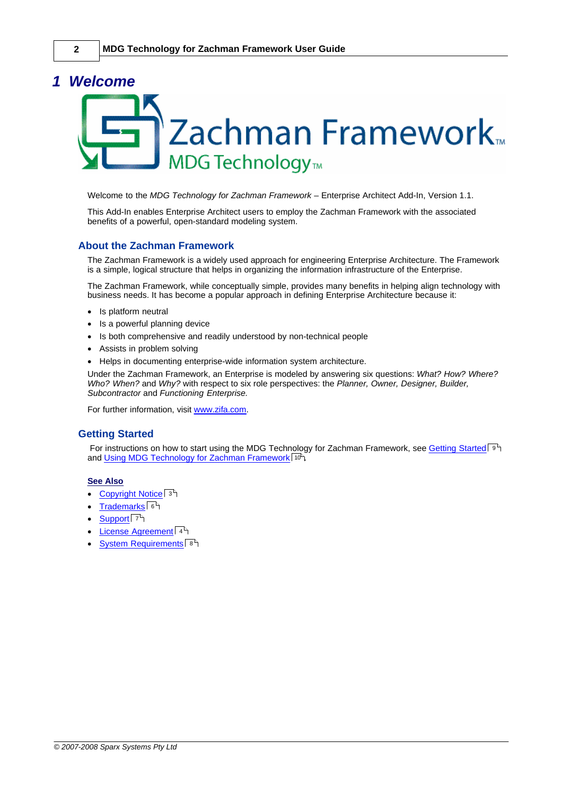## <span id="page-5-0"></span>*1 Welcome*

# Zachman Framework<sub>™</sub> MDG Technology<sub>™</sub>

Welcome to the *MDG Technology for Zachman Framework* – Enterprise Architect Add-In, Version 1.1.

This Add-In enables Enterprise Architect users to employ the Zachman Framework with the associated benefits of a powerful, open-standard modeling system.

#### **About the Zachman Framework**

The Zachman Framework is a widely used approach for engineering Enterprise Architecture. The Framework is a simple, logical structure that helps in organizing the information infrastructure of the Enterprise.

The Zachman Framework, while conceptually simple, provides many benefits in helping align technology with business needs. It has become a popular approach in defining Enterprise Architecture because it:

- · Is platform neutral
- Is a powerful planning device
- · Is both comprehensive and readily understood by non-technical people
- · Assists in problem solving
- · Helps in documenting enterprise-wide information system architecture.

Under the Zachman Framework, an Enterprise is modeled by answering six questions: *What? How? Where? Who? When?* and *Why?* with respect to six role perspectives: the *Planner, Owner, Designer, Builder, Subcontractor* and *Functioning Enterprise.*

For further information, visit [www.zifa.com.](http://www.zifa.com/)

#### **Getting Started**

For instructions on how to start using the MDG Technology for Zachman Framework, see [Getting Started](#page-12-0) | 9<sup>4</sup> and <u>Using MDG Technology for Zachman Framework</u> 10<sup>5</sup>.

#### **See Also**

- · [Copyright Notice](#page-6-0) 3
- · [Trademarks](#page-9-0) 6
- · [Support](#page-10-0) 7
- <u>[License Agreement](#page-7-0)</u>l 4<sup>马</sup>
- <u>[System Requirements](#page-11-0)</u>l 8<sup>ら</sup>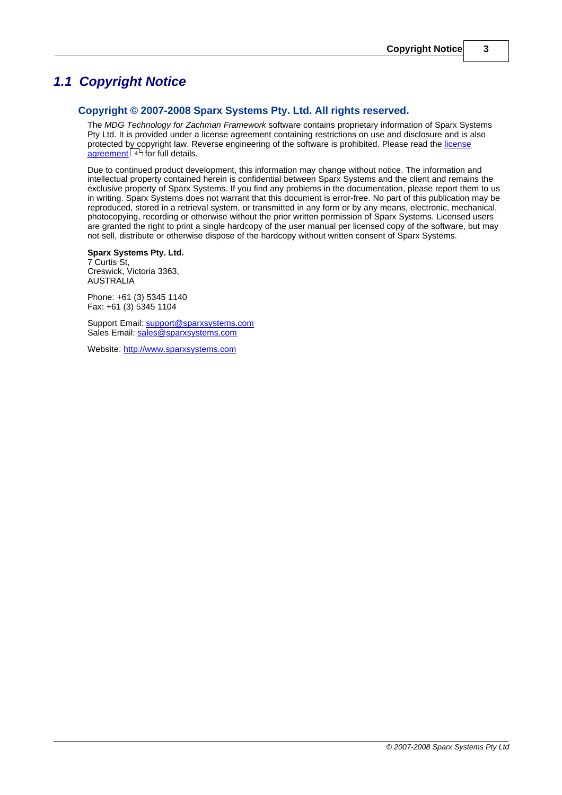### <span id="page-6-0"></span>*1.1 Copyright Notice*

#### **Copyright © 2007-2008 Sparx Systems Pty. Ltd. All rights reserved.**

The *MDG Technology for Zachman Framework* software contains proprietary information of Sparx Systems Pty Ltd. It is provided under a license agreement containing restrictions on use and disclosure and is also protected by copyright law. Reverse engineering of the software is prohibited. Please read the <u>[license](#page-7-0)</u> [agreement](#page-7-0) for full details. 4

Due to continued product development, this information may change without notice. The information and intellectual property contained herein is confidential between Sparx Systems and the client and remains the exclusive property of Sparx Systems. If you find any problems in the documentation, please report them to us in writing. Sparx Systems does not warrant that this document is error-free. No part of this publication may be reproduced, stored in a retrieval system, or transmitted in any form or by any means, electronic, mechanical, photocopying, recording or otherwise without the prior written permission of Sparx Systems. Licensed users are granted the right to print a single hardcopy of the user manual per licensed copy of the software, but may not sell, distribute or otherwise dispose of the hardcopy without written consent of Sparx Systems.

**Sparx Systems Pty. Ltd.** 7 Curtis St, Creswick, Victoria 3363, AUSTRALIA

Phone: +61 (3) 5345 1140 Fax: +61 (3) 5345 1104

Support Email: [support@sparxsystems.com](mailto:support@sparxsystems.com) Sales Email: [sales@sparxsystems.com](mailto:sales@sparxsystems.com)

Website: <http://www.sparxsystems.com>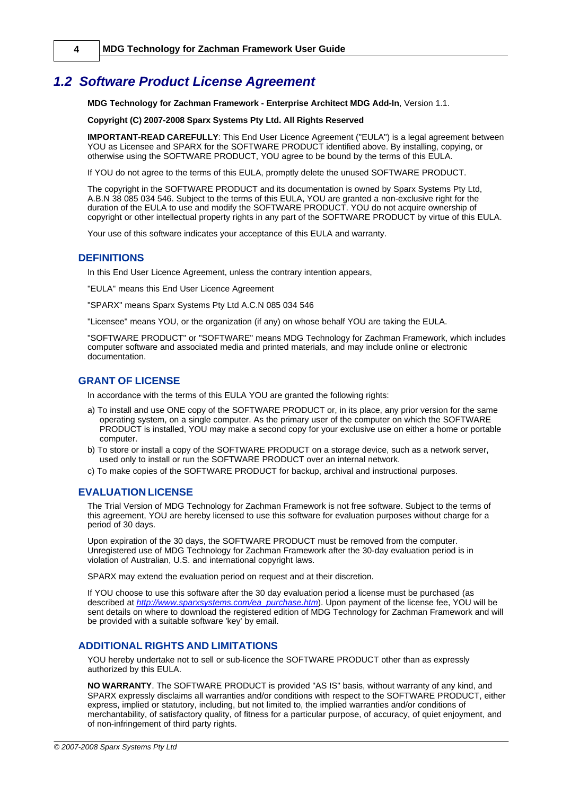### <span id="page-7-0"></span>*1.2 Software Product License Agreement*

**MDG Technology for Zachman Framework - Enterprise Architect MDG Add-In**, Version 1.1.

#### **Copyright (C) 2007-2008 Sparx Systems Pty Ltd. All Rights Reserved**

**IMPORTANT-READ CAREFULLY**: This End User Licence Agreement ("EULA") is a legal agreement between YOU as Licensee and SPARX for the SOFTWARE PRODUCT identified above. By installing, copying, or otherwise using the SOFTWARE PRODUCT, YOU agree to be bound by the terms of this EULA.

If YOU do not agree to the terms of this EULA, promptly delete the unused SOFTWARE PRODUCT.

The copyright in the SOFTWARE PRODUCT and its documentation is owned by Sparx Systems Pty Ltd, A.B.N 38 085 034 546. Subject to the terms of this EULA, YOU are granted a non-exclusive right for the duration of the EULA to use and modify the SOFTWARE PRODUCT. YOU do not acquire ownership of copyright or other intellectual property rights in any part of the SOFTWARE PRODUCT by virtue of this EULA.

Your use of this software indicates your acceptance of this EULA and warranty.

#### **DEFINITIONS**

In this End User Licence Agreement, unless the contrary intention appears,

"EULA" means this End User Licence Agreement

"SPARX" means Sparx Systems Pty Ltd A.C.N 085 034 546

"Licensee" means YOU, or the organization (if any) on whose behalf YOU are taking the EULA.

"SOFTWARE PRODUCT" or "SOFTWARE" means MDG Technology for Zachman Framework, which includes computer software and associated media and printed materials, and may include online or electronic documentation.

#### **GRANT OF LICENSE**

In accordance with the terms of this EULA YOU are granted the following rights:

- a) To install and use ONE copy of the SOFTWARE PRODUCT or, in its place, any prior version for the same operating system, on a single computer. As the primary user of the computer on which the SOFTWARE PRODUCT is installed, YOU may make a second copy for your exclusive use on either a home or portable computer.
- b) To store or install a copy of the SOFTWARE PRODUCT on a storage device, such as a network server, used only to install or run the SOFTWARE PRODUCT over an internal network.
- c) To make copies of the SOFTWARE PRODUCT for backup, archival and instructional purposes.

#### **EVALUATION LICENSE**

The Trial Version of MDG Technology for Zachman Framework is not free software. Subject to the terms of this agreement, YOU are hereby licensed to use this software for evaluation purposes without charge for a period of 30 days.

Upon expiration of the 30 days, the SOFTWARE PRODUCT must be removed from the computer. Unregistered use of MDG Technology for Zachman Framework after the 30-day evaluation period is in violation of Australian, U.S. and international copyright laws.

SPARX may extend the evaluation period on request and at their discretion.

If YOU choose to use this software after the 30 day evaluation period a license must be purchased (as described at *[http://www.sparxsystems.com/ea\\_purchase.htm](http://www.sparxsystems.com/ea_purchase.htm)*). Upon payment of the license fee, YOU will be sent details on where to download the registered edition of MDG Technology for Zachman Framework and will be provided with a suitable software 'key' by email.

#### **ADDITIONAL RIGHTS AND LIMITATIONS**

YOU hereby undertake not to sell or sub-licence the SOFTWARE PRODUCT other than as expressly authorized by this EULA.

**NO WARRANTY**. The SOFTWARE PRODUCT is provided "AS IS" basis, without warranty of any kind, and SPARX expressly disclaims all warranties and/or conditions with respect to the SOFTWARE PRODUCT, either express, implied or statutory, including, but not limited to, the implied warranties and/or conditions of merchantability, of satisfactory quality, of fitness for a particular purpose, of accuracy, of quiet enjoyment, and of non-infringement of third party rights.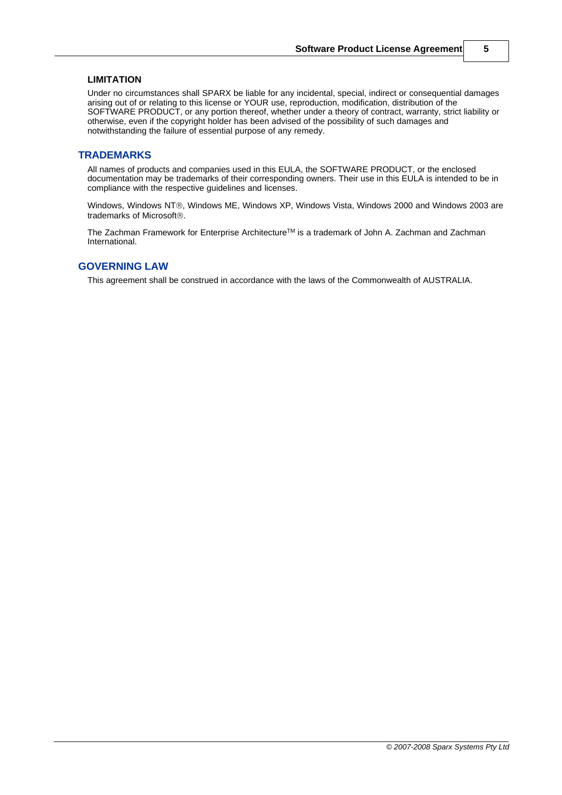#### **LIMITATION**

Under no circumstances shall SPARX be liable for any incidental, special, indirect or consequential damages arising out of or relating to this license or YOUR use, reproduction, modification, distribution of the SOFTWARE PRODUCT, or any portion thereof, whether under a theory of contract, warranty, strict liability or otherwise, even if the copyright holder has been advised of the possibility of such damages and notwithstanding the failure of essential purpose of any remedy.

#### **TRADEMARKS**

All names of products and companies used in this EULA, the SOFTWARE PRODUCT, or the enclosed documentation may be trademarks of their corresponding owners. Their use in this EULA is intended to be in compliance with the respective guidelines and licenses.

Windows, Windows NT®, Windows ME, Windows XP, Windows Vista, Windows 2000 and Windows 2003 are trademarks of Microsoft®

The Zachman Framework for Enterprise Architecture™ is a trademark of John A. Zachman and Zachman International.

#### **GOVERNING LAW**

This agreement shall be construed in accordance with the laws of the Commonwealth of AUSTRALIA.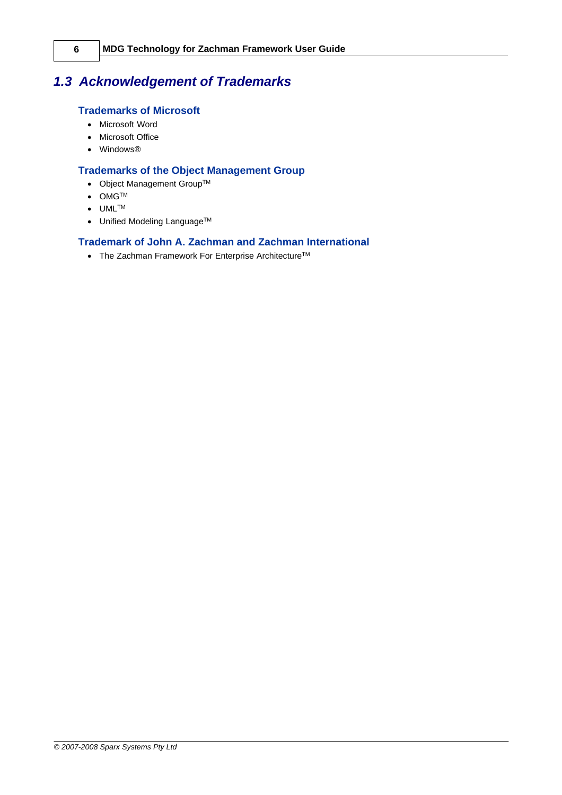## <span id="page-9-0"></span>*1.3 Acknowledgement of Trademarks*

#### **Trademarks of Microsoft**

- · Microsoft Word
- · Microsoft Office
- · Windows®

#### **Trademarks of the Object Management Group**

- · Object Management GroupTM
- OMG<sub>TM</sub>
- · UMLTM
- Unified Modeling Language<sup>TM</sup>

#### **Trademark of John A. Zachman and Zachman International**

· The Zachman Framework For Enterprise ArchitectureTM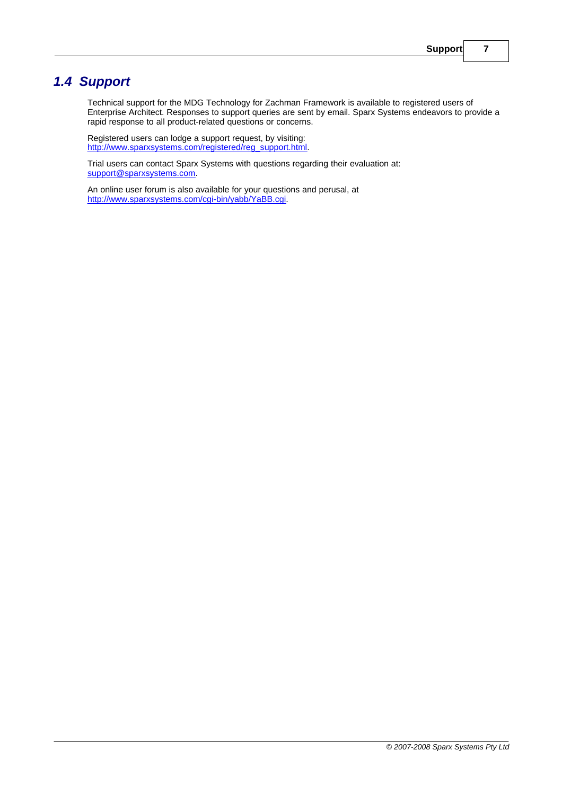## <span id="page-10-0"></span>*1.4 Support*

Technical support for the MDG Technology for Zachman Framework is available to registered users of Enterprise Architect. Responses to support queries are sent by email. Sparx Systems endeavors to provide a rapid response to all product-related questions or concerns.

Registered users can lodge a support request, by visiting: [http://www.sparxsystems.com/registered/reg\\_support.html](http://www.sparxsystems.com/registered/reg_support.html).

Trial users can contact Sparx Systems with questions regarding their evaluation at: [support@sparxsystems.com.](mailto:support@sparxsystems.com)

An online user forum is also available for your questions and perusal, at [http://www.sparxsystems.com/cgi-bin/yabb/YaBB.cgi.](http://www.sparxsystems.com/cgi-bin/yabb/YaBB.cgi)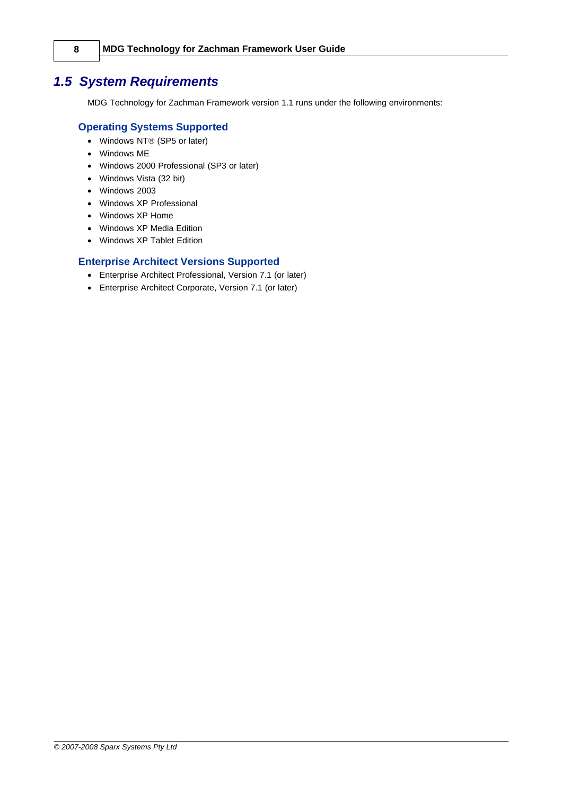### <span id="page-11-0"></span>*1.5 System Requirements*

MDG Technology for Zachman Framework version 1.1 runs under the following environments:

#### **Operating Systems Supported**

- Windows NT® (SP5 or later)
- · Windows ME
- · Windows 2000 Professional (SP3 or later)
- · Windows Vista (32 bit)
- · Windows 2003
- · Windows XP Professional
- · Windows XP Home
- · Windows XP Media Edition
- · Windows XP Tablet Edition

#### **Enterprise Architect Versions Supported**

- · Enterprise Architect Professional, Version 7.1 (or later)
- · Enterprise Architect Corporate, Version 7.1 (or later)

*© 2007-2008 Sparx Systems Pty Ltd*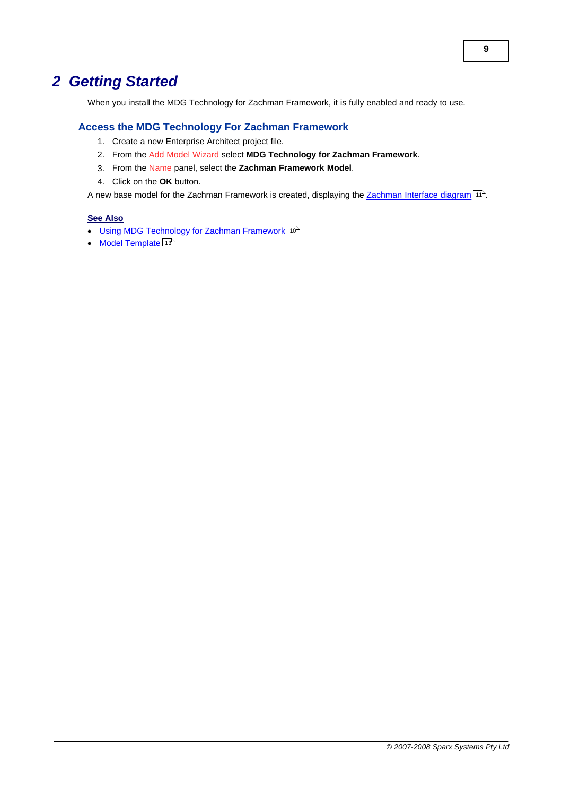## <span id="page-12-0"></span>*2 Getting Started*

When you install the MDG Technology for Zachman Framework, it is fully enabled and ready to use.

#### **Access the MDG Technology For Zachman Framework**

- 1. Create a new Enterprise Architect project file.
- 2. From the Add Model Wizard select **MDG Technology for Zachman Framework**.
- 3. From the Name panel, select the **Zachman Framework Model**.
- 4. Click on the **OK** button.

A new base model for the Zachman Framework is created, displaying the <u>Zachman Interface diagram</u>| 11<sup>4</sup>).

#### **See Also**

- [Using MDG Technology for Zachman Framework](#page-13-0) 10 । 10 ।
- · [Model Template](#page-16-0) 13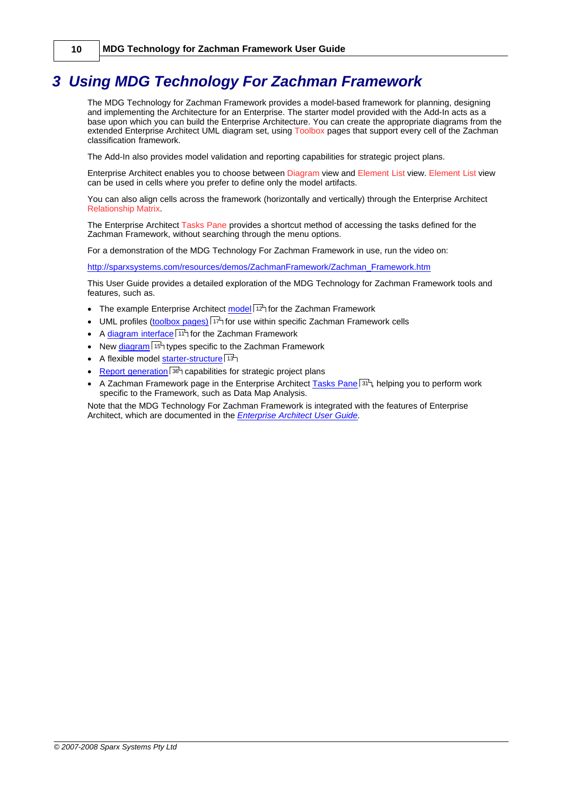**10 MDG Technology for Zachman Framework User Guide**

## <span id="page-13-0"></span>*3 Using MDG Technology For Zachman Framework*

The MDG Technology for Zachman Framework provides a model-based framework for planning, designing and implementing the Architecture for an Enterprise. The starter model provided with the Add-In acts as a base upon which you can build the Enterprise Architecture. You can create the appropriate diagrams from the extended Enterprise Architect UML diagram set, using Toolbox pages that support every cell of the Zachman classification framework.

The Add-In also provides model validation and reporting capabilities for strategic project plans.

Enterprise Architect enables you to choose between Diagram view and Element List view. Element List view can be used in cells where you prefer to define only the model artifacts.

You can also align cells across the framework (horizontally and vertically) through the Enterprise Architect Relationship Matrix.

The Enterprise Architect Tasks Pane provides a shortcut method of accessing the tasks defined for the Zachman Framework, without searching through the menu options.

For a demonstration of the MDG Technology For Zachman Framework in use, run the video on:

[http://sparxsystems.com/resources/demos/ZachmanFramework/Zachman\\_Framework.htm](http://sparxsystems.com/resources/demos/ZachmanFramework/Zachman_Framework.htm)

This User Guide provides a detailed exploration of the MDG Technology for Zachman Framework tools and features, such as.

- The example Enterprise Architect [model](#page-15-0)<sup>|</sup> 12<sup>5</sup> for the Zachman Framework
- UML profiles (<u>[toolbox pages\)](#page-20-0)</u> | 17<sup>5</sup> for use within specific Zachman Framework cells
- A <u>[diagram interface](#page-14-0)</u> | 11<sup>1</sup> for the Zachman Framework
- New <u>[diagram](#page-18-0)</u>| 15 types specific to the Zachman Framework
- A flexible model <u>[starter-structure](#page-16-0)</u> | 13<sup>4</sup>
- [Report generation](#page-39-0)  $|36\rangle$  capabilities for strategic project plans
- A Zachman Framework page in the Enterprise Architect  $\overline{\text{Lasks Panel}}$  ath helping you to perform work specific to the Framework, such as Data Map Analysis.

Note that the MDG Technology For Zachman Framework is integrated with the features of Enterprise Architect, which are documented in the *[Enterprise Architect User Guide](http://www.sparxsystems.com/EAUserGuide/index.html?introduction.htm)*.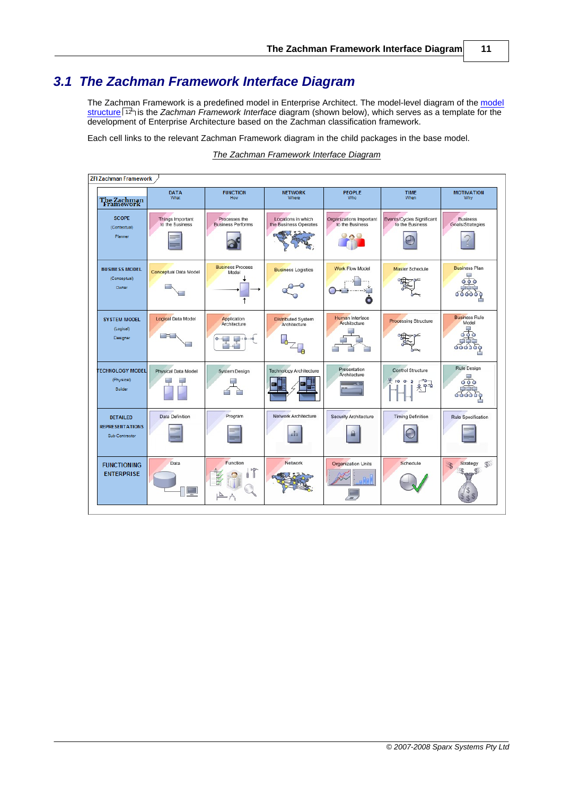### <span id="page-14-0"></span>*3.1 The Zachman Framework Interface Diagram*

The Zachman Framework is a predefined model in Enterprise Architect. The model-level diagram of the [model](#page-15-0) [structure](#page-15-0) is the *Zachman Framework Interface* diagram (shown below), which serves as a template for the 12development of Enterprise Architecture based on the Zachman classification framework.

Each cell links to the relevant Zachman Framework diagram in the child packages in the base model.

#### *The Zachman Framework Interface Diagram*

| <b>ZFI Zachman Framework</b> |                                                             |                                     |                                           |                                             |                                            |                                                          |                                     |
|------------------------------|-------------------------------------------------------------|-------------------------------------|-------------------------------------------|---------------------------------------------|--------------------------------------------|----------------------------------------------------------|-------------------------------------|
|                              | The Zachman<br>Framework                                    | <b>DATA</b><br><b>What</b>          | <b>FUNCTION</b><br>How                    | <b>NETWORK</b><br>Where                     | <b>PEOPLE</b><br><b>Who</b>                | <b>TIME</b><br><b>When</b>                               | <b>MOTIVATION</b><br>Why            |
|                              | <b>SCOPE</b><br>(Contextual)<br>Planner                     | Things Important<br>to the Business | Processes the<br><b>Business Performs</b> | Locations in which<br>the Business Operates | Organizations Important<br>to the Business | Events/Cycles Significant<br>to the Eusiness             | <b>Business</b><br>Goals/Strategies |
|                              | <b>BUSINESS MODEL</b><br>(Conceptual)<br>Owner              | Conceptual Data Model               | <b>Business Process</b><br>Model          | <b>Business Logistics</b>                   | <b>Work Flow Model</b><br>٠                | Master Schedule                                          | <b>Business Plan</b>                |
|                              | <b>SYSTEM MODEL</b><br>(Logical)<br>Designer                | Logical Data Model<br>-             | Application<br>Architecture               | Distributed System<br>Architecture          | Human Interface<br>Architecture            | <b>Processing Structure</b>                              | <b>Business Rule</b><br>Mcdel       |
|                              | <b>TECHNOLOGY MODEL</b><br>(Physical)<br>Builder            | Physical Data Model                 | <b>System Design</b>                      | <b>Technology Architecture</b>              | Presentation<br>Architecture               | Control Structure<br>옷<br>H <sup>o</sup><br>۰<br>л<br>ゆき | Rule Design                         |
|                              | <b>DETAILED</b><br><b>REPRESENTATIONS</b><br>Sub-Contractor | <b>Data Definition</b>              | Program                                   | Network Architecture<br>$-1$                | <b>Security Architecture</b>               | <b>Timing Definition</b>                                 | <b>Rule Specification</b>           |
|                              | <b>FUNCTIONING</b><br><b>ENTERPRISE</b>                     | Data                                | Function<br>E<br>$\overline{\mathbf{v}}$  | <b>Network</b>                              | <b>Organization Units</b>                  | Schedule                                                 | Strategy<br>\$6<br>$\mathcal{R}$    |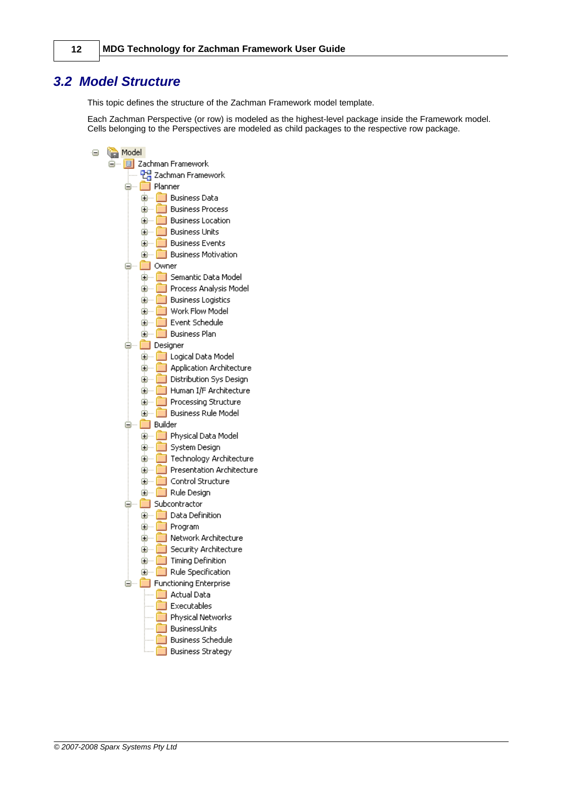### <span id="page-15-0"></span>*3.2 Model Structure*

This topic defines the structure of the Zachman Framework model template.

Each Zachman Perspective (or row) is modeled as the highest-level package inside the Framework model. Cells belonging to the Perspectives are modeled as child packages to the respective row package.

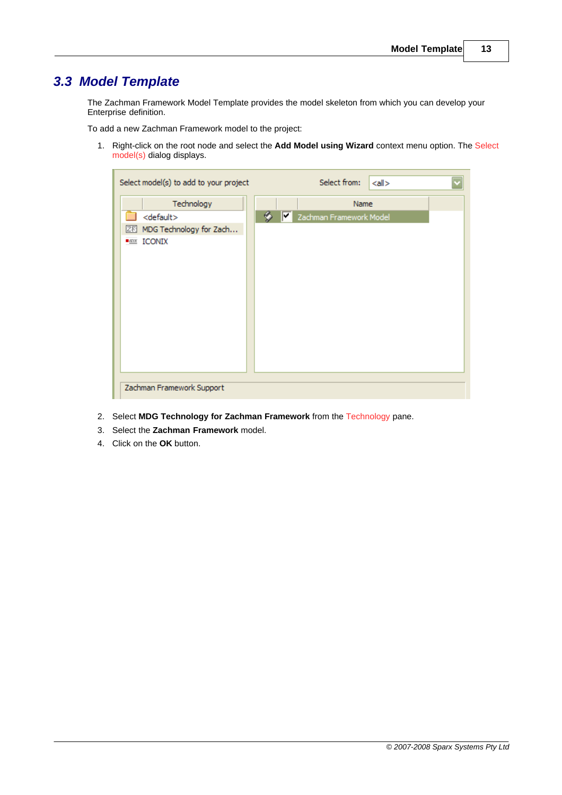## <span id="page-16-0"></span>*3.3 Model Template*

The Zachman Framework Model Template provides the model skeleton from which you can develop your Enterprise definition.

To add a new Zachman Framework model to the project:

1. Right-click on the root node and select the **Add Model using Wizard** context menu option. The Select model(s) dialog displays.



- 2. Select **MDG Technology for Zachman Framework** from the Technology pane.
- 3. Select the **Zachman Framework** model.
- 4. Click on the **OK** button.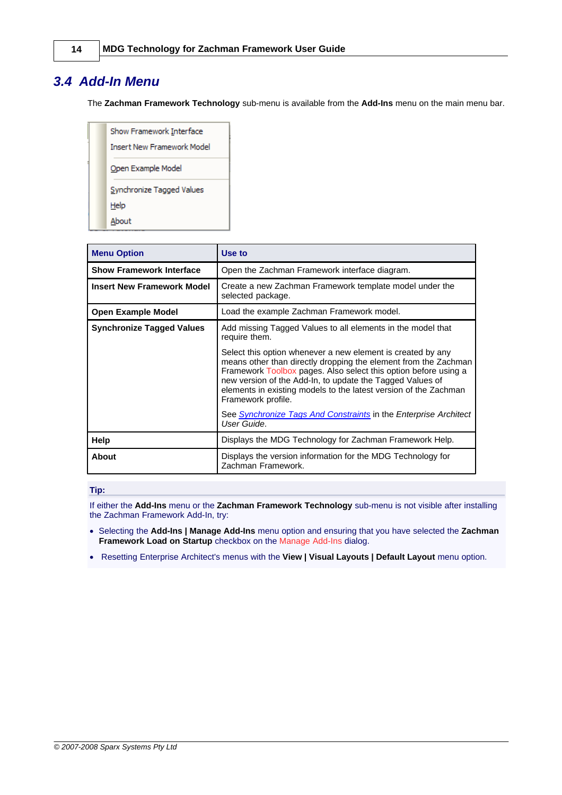### <span id="page-17-0"></span>*3.4 Add-In Menu*

The **Zachman Framework Technology** sub-menu is available from the **Add-Ins** menu on the main menu bar.

Show Framework Interface **Insert New Framework Model** Open Example Model Synchronize Tagged Values Help About

| <b>Menu Option</b>                | Use to                                                                                                                                                                                                                                                                                                                                                   |
|-----------------------------------|----------------------------------------------------------------------------------------------------------------------------------------------------------------------------------------------------------------------------------------------------------------------------------------------------------------------------------------------------------|
| <b>Show Framework Interface</b>   | Open the Zachman Framework interface diagram.                                                                                                                                                                                                                                                                                                            |
| <b>Insert New Framework Model</b> | Create a new Zachman Framework template model under the<br>selected package.                                                                                                                                                                                                                                                                             |
| <b>Open Example Model</b>         | Load the example Zachman Framework model.                                                                                                                                                                                                                                                                                                                |
| <b>Synchronize Tagged Values</b>  | Add missing Tagged Values to all elements in the model that<br>require them.                                                                                                                                                                                                                                                                             |
|                                   | Select this option whenever a new element is created by any<br>means other than directly dropping the element from the Zachman<br>Framework Toolbox pages. Also select this option before using a<br>new version of the Add-In, to update the Tagged Values of<br>elements in existing models to the latest version of the Zachman<br>Framework profile. |
|                                   | See Synchronize Tags And Constraints in the Enterprise Architect<br>User Guide.                                                                                                                                                                                                                                                                          |
| Help                              | Displays the MDG Technology for Zachman Framework Help.                                                                                                                                                                                                                                                                                                  |
| About                             | Displays the version information for the MDG Technology for<br>Zachman Framework.                                                                                                                                                                                                                                                                        |

#### **Tip:**

If either the **Add-Ins** menu or the **Zachman Framework Technology** sub-menu is not visible after installing the Zachman Framework Add-In, try:

- · Selecting the **Add-Ins | Manage Add-Ins** menu option and ensuring that you have selected the **Zachman Framework Load on Startup** checkbox on the Manage Add-Ins dialog.
- · Resetting Enterprise Architect's menus with the **View | Visual Layouts | Default Layout** menu option.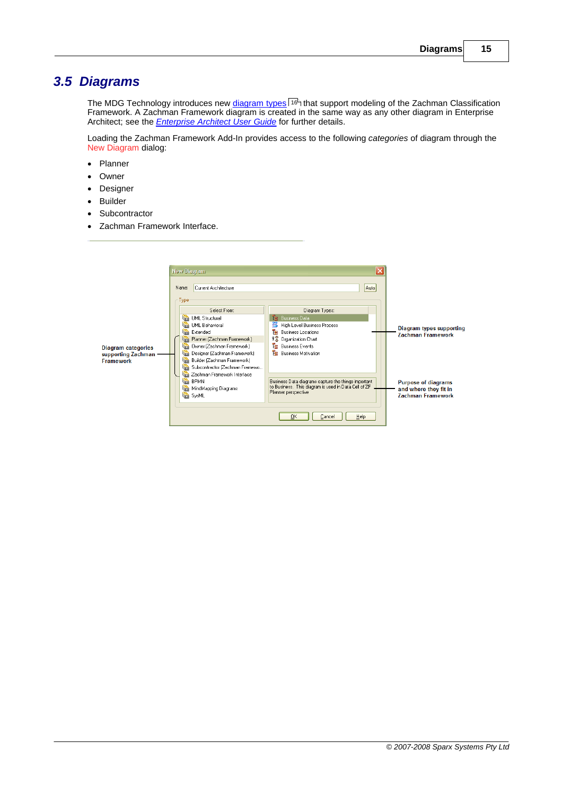### <span id="page-18-0"></span>*3.5 Diagrams*

The MDG Technology introduces new <u>diagram types</u> l 16 that support modeling of the Zachman Classification Framework. A Zachman Framework diagram is created in the same way as any other diagram in Enterprise Architect; see the *[Enterprise Architect User Guide](http://www.sparxsystems.com/EAUserGuide/index.html?newdiagrams.htm)* for further details. 16

Loading the Zachman Framework Add-In provides access to the following *categories* of diagram through the New Diagram dialog:

- · Planner
- · Owner
- · Designer
- · Builder
- **Subcontractor**
- · Zachman Framework Interface.

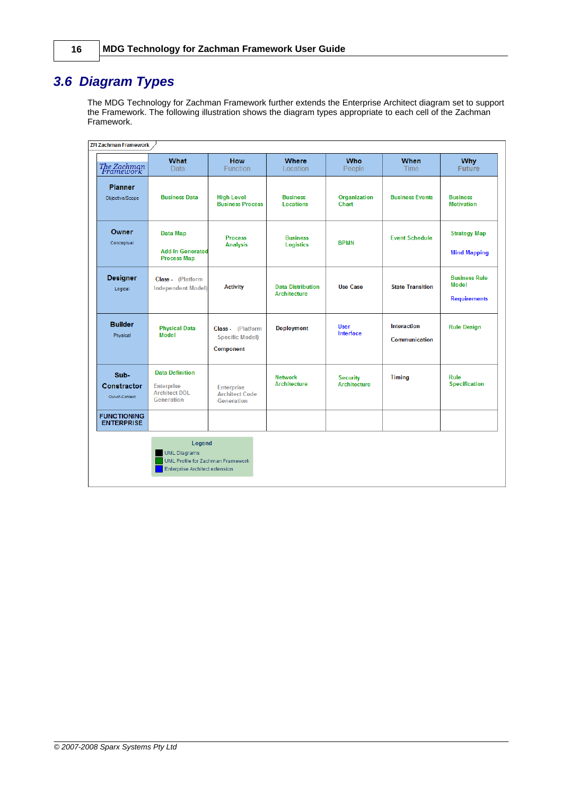## <span id="page-19-0"></span>*3.6 Diagram Types*

The MDG Technology for Zachman Framework further extends the Enterprise Architect diagram set to support the Framework. The following illustration shows the diagram types appropriate to each cell of the Zachman Framework.

| The Zachman<br>Framework                | What<br><b>Data</b>                                                                                  | <b>How</b><br><b>Function</b>                                   | <b>Where</b><br>Location                        | <b>Who</b><br>People                   | <b>When</b><br><b>Time</b>   | <b>Why</b><br><b>Future</b>                                 |
|-----------------------------------------|------------------------------------------------------------------------------------------------------|-----------------------------------------------------------------|-------------------------------------------------|----------------------------------------|------------------------------|-------------------------------------------------------------|
| <b>Planner</b><br>Objective/Scope       | <b>Business Data</b>                                                                                 | <b>High Level</b><br><b>Business Process</b>                    | <b>Business</b><br>Locations                    | Organization<br>Chart                  | <b>Business Events</b>       | <b>Business</b><br><b>Motivation</b>                        |
| Owner<br>Conceptual                     | <b>Data Map</b><br><b>Add-In Generated</b><br><b>Process Map</b>                                     | <b>Process</b><br><b>Analysis</b>                               | <b>Business</b><br><b>Logistics</b>             | <b>BPMN</b>                            | <b>Event Schedule</b>        | <b>Strategy Map</b><br><b>Mind Mapping</b>                  |
| <b>Designer</b><br>Logical              | Class - (Platform<br><b>Independent Model)</b>                                                       | <b>Activity</b>                                                 | <b>Data Distribution</b><br><b>Architecture</b> | Use Case                               | <b>State Transition</b>      | <b>Business Rule</b><br><b>Model</b><br><b>Requirements</b> |
| <b>Builder</b><br>Physical              | <b>Physical Data</b><br><b>Model</b>                                                                 | Class - (Platform<br><b>Specific Model)</b><br><b>Component</b> | <b>Deployment</b>                               | <b>User</b><br><b>Interface</b>        | Interaction<br>Communication | <b>Rule Design</b>                                          |
| Sub-<br>Constractor<br>Out-of-Context   | <b>Data Definition</b><br><b>Enterprise</b><br><b>Architect DDL</b><br><b>Generation</b>             | <b>Enterprise</b><br><b>Architect Code</b><br><b>Generation</b> | <b>Network</b><br><b>Architecture</b>           | <b>Security</b><br><b>Architecture</b> | <b>Timing</b>                | Rule<br><b>Specification</b>                                |
| <b>FUNCTIONING</b><br><b>ENTERPRISE</b> |                                                                                                      |                                                                 |                                                 |                                        |                              |                                                             |
|                                         | Legend<br><b>UML Diagrams</b><br>UML Profile for Zachman Framework<br>Enterprise Architect extension |                                                                 |                                                 |                                        |                              |                                                             |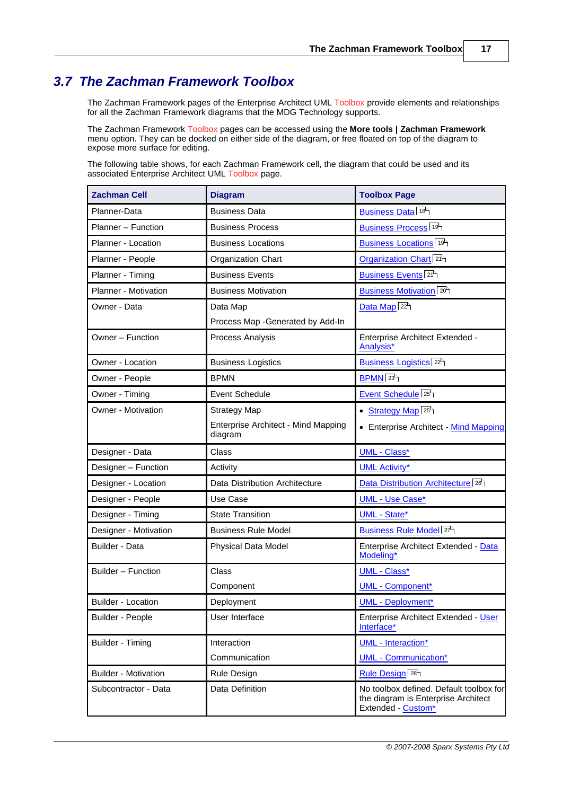### <span id="page-20-0"></span>*3.7 The Zachman Framework Toolbox*

The Zachman Framework pages of the Enterprise Architect UML Toolbox provide elements and relationships for all the Zachman Framework diagrams that the MDG Technology supports.

The Zachman Framework Toolbox pages can be accessed using the **More tools | Zachman Framework** menu option. They can be docked on either side of the diagram, or free floated on top of the diagram to expose more surface for editing.

The following table shows, for each Zachman Framework cell, the diagram that could be used and its associated Enterprise Architect UML Toolbox page.

| <b>Zachman Cell</b>         | <b>Diagram</b>                                 | <b>Toolbox Page</b>                                                                                  |
|-----------------------------|------------------------------------------------|------------------------------------------------------------------------------------------------------|
| Planner-Data                | <b>Business Data</b>                           | Business Data <sup>18</sup>                                                                          |
| Planner - Function          | <b>Business Process</b>                        | Business Process 19                                                                                  |
| Planner - Location          | <b>Business Locations</b>                      | <b>Business Locations</b> 19                                                                         |
| Planner - People            | Organization Chart                             | Organization Chart <sup>[21</sup> ]                                                                  |
| Planner - Timing            | <b>Business Events</b>                         | <b>Business Events</b> 21                                                                            |
| <b>Planner - Motivation</b> | <b>Business Motivation</b>                     | <b>Business Motivation</b> 20                                                                        |
| Owner - Data                | Data Map                                       | Data Map <sup>22</sup>                                                                               |
|                             | Process Map - Generated by Add-In              |                                                                                                      |
| Owner - Function            | Process Analysis                               | Enterprise Architect Extended -<br>Analysis*                                                         |
| Owner - Location            | <b>Business Logistics</b>                      | <b>Business Logistics</b> 22                                                                         |
| Owner - People              | <b>BPMN</b>                                    | BPMN <sup>23</sup>                                                                                   |
| Owner - Timing              | Event Schedule                                 | Event Schedule <sup>[25]</sup>                                                                       |
| <b>Owner - Motivation</b>   | <b>Strategy Map</b>                            | ● Strategy Map 25                                                                                    |
|                             | Enterprise Architect - Mind Mapping<br>diagram | • Enterprise Architect - Mind Mapping                                                                |
| Designer - Data             | Class                                          | <b>UML - Class*</b>                                                                                  |
| Designer - Function         | Activity                                       | <b>UML Activity*</b>                                                                                 |
| Designer - Location         | Data Distribution Architecture                 | Data Distribution Architecture 26                                                                    |
| Designer - People           | Use Case                                       | <b>UML - Use Case*</b>                                                                               |
| Designer - Timing           | <b>State Transition</b>                        | <b>UML - State*</b>                                                                                  |
| Designer - Motivation       | <b>Business Rule Model</b>                     | <b>Business Rule Model 27</b>                                                                        |
| Builder - Data              | Physical Data Model                            | Enterprise Architect Extended - Data<br>Modeling*                                                    |
| Builder - Function          | Class                                          | <b>UML - Class*</b>                                                                                  |
|                             | Component                                      | <b>UML - Component*</b>                                                                              |
| <b>Builder - Location</b>   | Deployment                                     | <b>UML - Deployment*</b>                                                                             |
| Builder - People            | User Interface                                 | Enterprise Architect Extended - User<br>Interface*                                                   |
| Builder - Timing            | Interaction                                    | <b>UML</b> - Interaction*                                                                            |
|                             | Communication                                  | <b>UML - Communication*</b>                                                                          |
| <b>Builder - Motivation</b> | Rule Design                                    | Rule Design 28                                                                                       |
| Subcontractor - Data        | Data Definition                                | No toolbox defined. Default toolbox for<br>the diagram is Enterprise Architect<br>Extended - Custom* |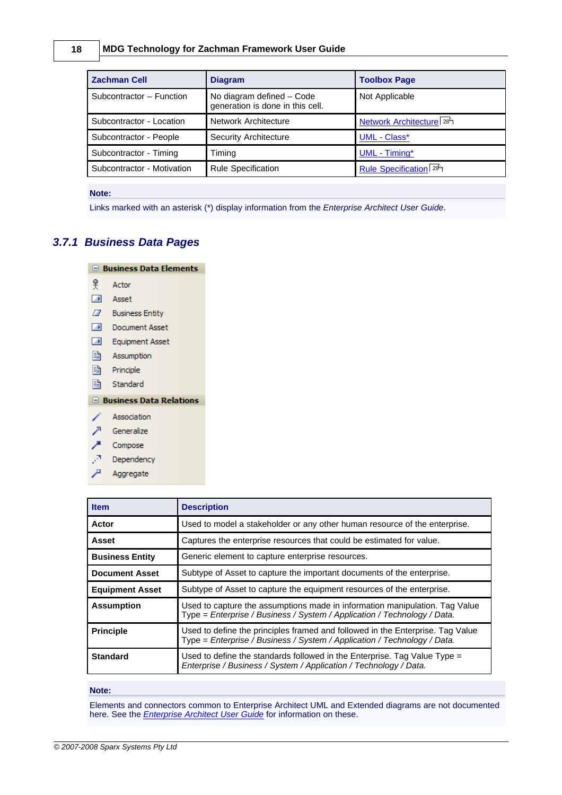#### **18 MDG Technology for Zachman Framework User Guide**

| <b>Zachman Cell</b>        | <b>Diagram</b>                                                | <b>Toolbox Page</b>            |
|----------------------------|---------------------------------------------------------------|--------------------------------|
| Subcontractor - Function   | No diagram defined - Code<br>generation is done in this cell. | Not Applicable                 |
| Subcontractor - Location   | <b>Network Architecture</b>                                   | <b>Network Architecture</b> 28 |
| Subcontractor - People     | <b>Security Architecture</b>                                  | <b>UML - Class*</b>            |
| Subcontractor - Timing     | Timing                                                        | UML - Timing*                  |
| Subcontractor - Motivation | <b>Rule Specification</b>                                     | Rule Specification 29          |

#### **Note:**

Links marked with an asterisk (\*) display information from the *Enterprise Architect User Guide*.

### <span id="page-21-0"></span>*3.7.1 Business Data Pages*

|                 | $\mathord{\hspace{1pt}\text{=}\hspace{1pt}}$ Business Data Elements |
|-----------------|---------------------------------------------------------------------|
| 옷               | Actor                                                               |
|                 | Asset                                                               |
| □               | <b>Business Entity</b>                                              |
| <b>A</b>        | Document Asset                                                      |
| $\mathcal{A}$ . | <b>Equipment Asset</b>                                              |
|                 | <b>Assumption</b>                                                   |
|                 | <b>B</b> Principle                                                  |
| B.              | Standard                                                            |
|                 |                                                                     |
|                 | $\Box$ Business Data Relations                                      |
|                 | Association                                                         |
| ↗               | Generalize                                                          |
| ↗               | Compose                                                             |
|                 | Dependency                                                          |
|                 | Aggregate                                                           |

| <b>Item</b>            | <b>Description</b>                                                                                                                                         |
|------------------------|------------------------------------------------------------------------------------------------------------------------------------------------------------|
| Actor                  | Used to model a stakeholder or any other human resource of the enterprise.                                                                                 |
| Asset                  | Captures the enterprise resources that could be estimated for value.                                                                                       |
| <b>Business Entity</b> | Generic element to capture enterprise resources.                                                                                                           |
| <b>Document Asset</b>  | Subtype of Asset to capture the important documents of the enterprise.                                                                                     |
| <b>Equipment Asset</b> | Subtype of Asset to capture the equipment resources of the enterprise.                                                                                     |
| <b>Assumption</b>      | Used to capture the assumptions made in information manipulation. Tag Value<br>Type = Enterprise / Business / System / Application / Technology / Data.    |
| <b>Principle</b>       | Used to define the principles framed and followed in the Enterprise. Tag Value<br>Type = Enterprise / Business / System / Application / Technology / Data. |
| <b>Standard</b>        | Used to define the standards followed in the Enterprise. Tag Value Type =<br>Enterprise / Business / System / Application / Technology / Data.             |

#### **Note:**

Elements and connectors common to Enterprise Architect UML and Extended diagrams are not documented here. See the *[Enterprise Architect User Guide](http://www.sparxsystems.com/EAUserGuide/index.html?objecttoolbar.htm)* for information on these.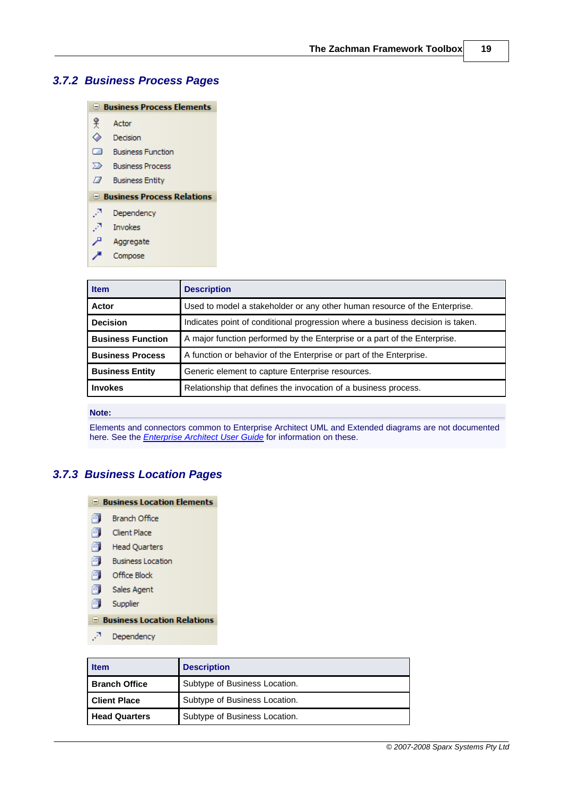#### <span id="page-22-0"></span>*3.7.2 Business Process Pages*

|          | <b>El Business Process Elements</b>  |
|----------|--------------------------------------|
| 옷        | Actor                                |
| ♦        | Decision                             |
| ▱        | <b>Business Function</b>             |
| ≫        | <b>Business Process</b>              |
| <i>■</i> | <b>Business Entity</b>               |
|          | <b>El Business Process Relations</b> |
| л.       | Dependency                           |
|          | Invokes                              |

- Æ Aggregate
- Compose

| <b>Item</b>              | <b>Description</b>                                                             |
|--------------------------|--------------------------------------------------------------------------------|
| Actor                    | Used to model a stakeholder or any other human resource of the Enterprise.     |
| <b>Decision</b>          | Indicates point of conditional progression where a business decision is taken. |
| <b>Business Function</b> | A major function performed by the Enterprise or a part of the Enterprise.      |
| <b>Business Process</b>  | A function or behavior of the Enterprise or part of the Enterprise.            |
| <b>Business Entity</b>   | Generic element to capture Enterprise resources.                               |
| <b>Invokes</b>           | Relationship that defines the invocation of a business process.                |

#### **Note:**

Elements and connectors common to Enterprise Architect UML and Extended diagrams are not documented here. See the *[Enterprise Architect User Guide](http://www.sparxsystems.com/EAUserGuide/index.html?objecttoolbar.htm)* for information on these.

#### <span id="page-22-1"></span>*3.7.3 Business Location Pages*



甸 Supplier

#### **E** Business Location Relations

 $\mathbb{R}^n$  Dependency

| <b>Item</b>          | <b>Description</b>            |
|----------------------|-------------------------------|
| <b>Branch Office</b> | Subtype of Business Location. |
| <b>Client Place</b>  | Subtype of Business Location. |
| <b>Head Quarters</b> | Subtype of Business Location. |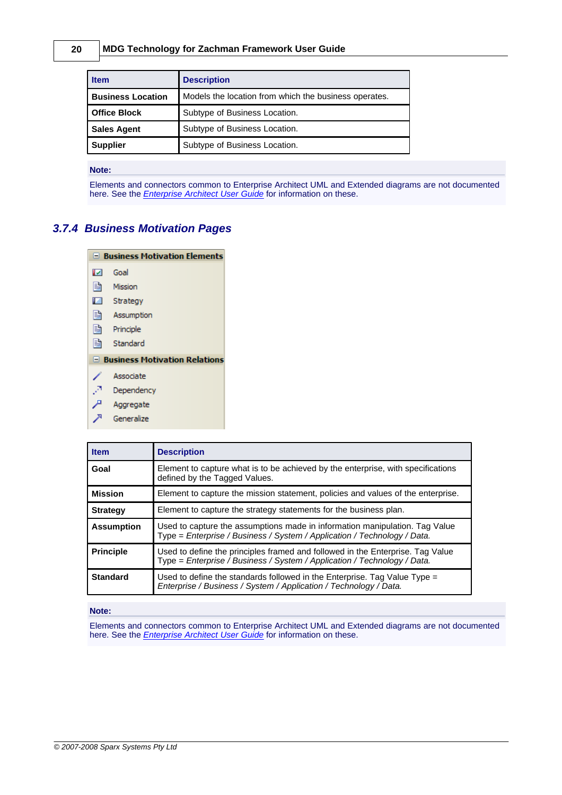#### **20 MDG Technology for Zachman Framework User Guide**

| <b>Item</b>              | <b>Description</b>                                    |
|--------------------------|-------------------------------------------------------|
| <b>Business Location</b> | Models the location from which the business operates. |
| <b>Office Block</b>      | Subtype of Business Location.                         |
| <b>Sales Agent</b>       | Subtype of Business Location.                         |
| <b>Supplier</b>          | Subtype of Business Location.                         |

**Note:**

Elements and connectors common to Enterprise Architect UML and Extended diagrams are not documented here. See the *[Enterprise Architect User Guide](http://www.sparxsystems.com/EAUserGuide/index.html?objecttoolbar.htm)* for information on these.

### <span id="page-23-0"></span>*3.7.4 Business Motivation Pages*

| $\Box$ Business Motivation Elements |                                      |  |
|-------------------------------------|--------------------------------------|--|
| w                                   | Goal                                 |  |
| 昏                                   | Mission                              |  |
| ⊡                                   | Strategy                             |  |
| 昏。                                  | Assumption                           |  |
|                                     | <b>B</b> Principle                   |  |
| 昏                                   | Standard                             |  |
|                                     | $\Box$ Business Motivation Relations |  |
|                                     | Associate                            |  |
| ,З                                  | Dependency                           |  |
|                                     | Aggregate                            |  |
|                                     | Generalize                           |  |

| <b>Item</b>       | <b>Description</b>                                                                                                                                         |
|-------------------|------------------------------------------------------------------------------------------------------------------------------------------------------------|
| Goal              | Element to capture what is to be achieved by the enterprise, with specifications<br>defined by the Tagged Values.                                          |
| <b>Mission</b>    | Element to capture the mission statement, policies and values of the enterprise.                                                                           |
| <b>Strategy</b>   | Element to capture the strategy statements for the business plan.                                                                                          |
| <b>Assumption</b> | Used to capture the assumptions made in information manipulation. Tag Value<br>Type = Enterprise / Business / System / Application / Technology / Data.    |
| <b>Principle</b>  | Used to define the principles framed and followed in the Enterprise. Tag Value<br>Type = Enterprise / Business / System / Application / Technology / Data. |
| <b>Standard</b>   | Used to define the standards followed in the Enterprise. Tag Value Type $=$<br>Enterprise / Business / System / Application / Technology / Data.           |

#### **Note:**

Elements and connectors common to Enterprise Architect UML and Extended diagrams are not documented here. See the *[Enterprise Architect User Guide](http://www.sparxsystems.com/EAUserGuide/index.html?objecttoolbar.htm)* for information on these.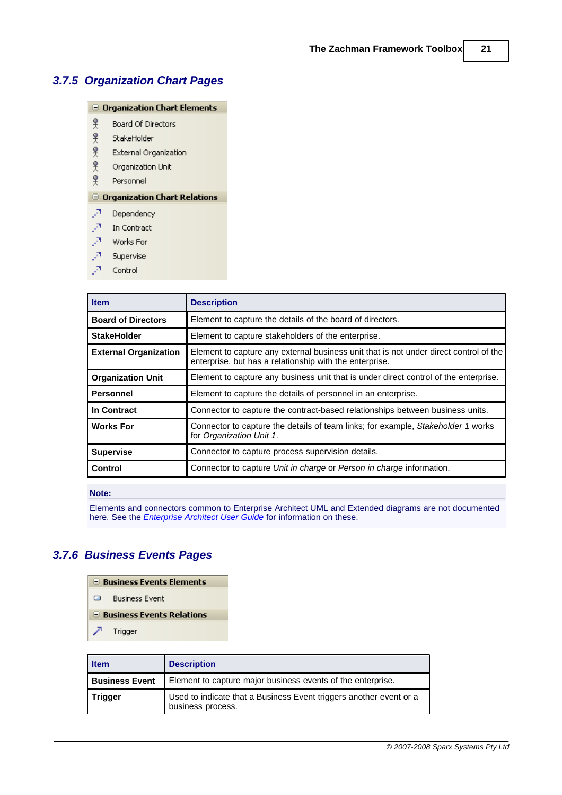### <span id="page-24-0"></span>*3.7.5 Organization Chart Pages*

#### $\blacksquare$  Organization Chart Elements

- $\mathbf{P}$ **Board Of Directors**
- $\frac{9}{5}$ StakeHolder
- $\ddot{\mathbf{r}}$ External Organization
- $\frac{9}{5}$ Organization Unit
- $\frac{9}{5}$ Personnel

#### $\boxdot$  Organization Chart Relations

- $\mathcal{P}$ Dependency
- у7 н In Contract
- $\mathcal{F}$ Works For
- Я. Supervise
- A Control

| <b>Description</b>                                                                                                                               |
|--------------------------------------------------------------------------------------------------------------------------------------------------|
| Element to capture the details of the board of directors.                                                                                        |
| Element to capture stakeholders of the enterprise.                                                                                               |
| Element to capture any external business unit that is not under direct control of the<br>enterprise, but has a relationship with the enterprise. |
| Element to capture any business unit that is under direct control of the enterprise.                                                             |
| Element to capture the details of personnel in an enterprise.                                                                                    |
| Connector to capture the contract-based relationships between business units.                                                                    |
| Connector to capture the details of team links; for example, Stakeholder 1 works<br>for Organization Unit 1.                                     |
| Connector to capture process supervision details.                                                                                                |
| Connector to capture Unit in charge or Person in charge information.                                                                             |
|                                                                                                                                                  |

#### **Note:**

Elements and connectors common to Enterprise Architect UML and Extended diagrams are not documented here. See the *[Enterprise Architect User Guide](http://www.sparxsystems.com/EAUserGuide/index.html?objecttoolbar.htm)* for information on these.

#### <span id="page-24-1"></span>*3.7.6 Business Events Pages*

□ Business Events Elements **Business Event** □ Business Events Relations  $\overline{\phantom{a}}$ Trigger

| <b>Item</b>           | <b>Description</b>                                                                      |
|-----------------------|-----------------------------------------------------------------------------------------|
| <b>Business Event</b> | Element to capture major business events of the enterprise.                             |
| <b>Trigger</b>        | Used to indicate that a Business Event triggers another event or a<br>business process. |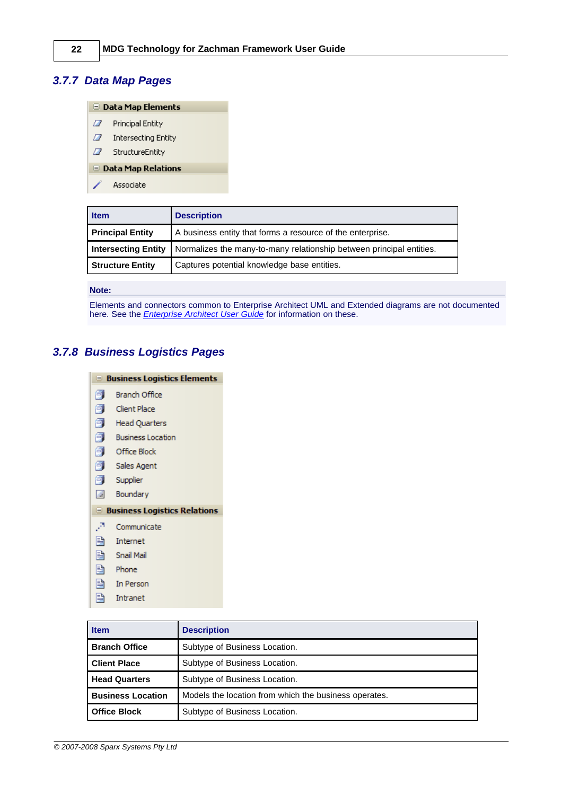### <span id="page-25-0"></span>*3.7.7 Data Map Pages*

| $\Box$ Data Map Elements  |                            |  |
|---------------------------|----------------------------|--|
| П                         | <b>Principal Entity</b>    |  |
| П                         | <b>Intersecting Entity</b> |  |
| П                         | StructureEntity            |  |
| $\Box$ Data Map Relations |                            |  |
|                           | Associate                  |  |

| <b>Item</b>                | <b>Description</b>                                                   |
|----------------------------|----------------------------------------------------------------------|
| <b>Principal Entity</b>    | A business entity that forms a resource of the enterprise.           |
| <b>Intersecting Entity</b> | Normalizes the many-to-many relationship between principal entities. |
| <b>Structure Entity</b>    | Captures potential knowledge base entities.                          |

#### **Note:**

Elements and connectors common to Enterprise Architect UML and Extended diagrams are not documented here. See the *[Enterprise Architect User Guide](http://www.sparxsystems.com/EAUserGuide/index.html?objecttoolbar.htm)* for information on these.

### <span id="page-25-1"></span>*3.7.8 Business Logistics Pages*

| $\Box$ Business Logistics Elements |                                     |
|------------------------------------|-------------------------------------|
| ÉΙ                                 | Branch Office                       |
| 卣                                  | Client Place                        |
| σ                                  | Head Quarters                       |
| 甸                                  | <b>Business Location</b>            |
| 卽                                  | Office Block                        |
| 6.                                 | Sales Agent                         |
| 61                                 | Supplier                            |
| <b>Alle</b>                        | Boundary                            |
|                                    | $\Box$ Business Logistics Relations |
| Л                                  | Communicate                         |
|                                    |                                     |
| e                                  | Internet                            |
| 昏                                  | Snail Mail                          |
| 閆                                  | Phone                               |
| e                                  | In Person                           |

| <b>Item</b>              | <b>Description</b>                                    |
|--------------------------|-------------------------------------------------------|
| <b>Branch Office</b>     | Subtype of Business Location.                         |
| <b>Client Place</b>      | Subtype of Business Location.                         |
| <b>Head Quarters</b>     | Subtype of Business Location.                         |
| <b>Business Location</b> | Models the location from which the business operates. |
| <b>Office Block</b>      | Subtype of Business Location.                         |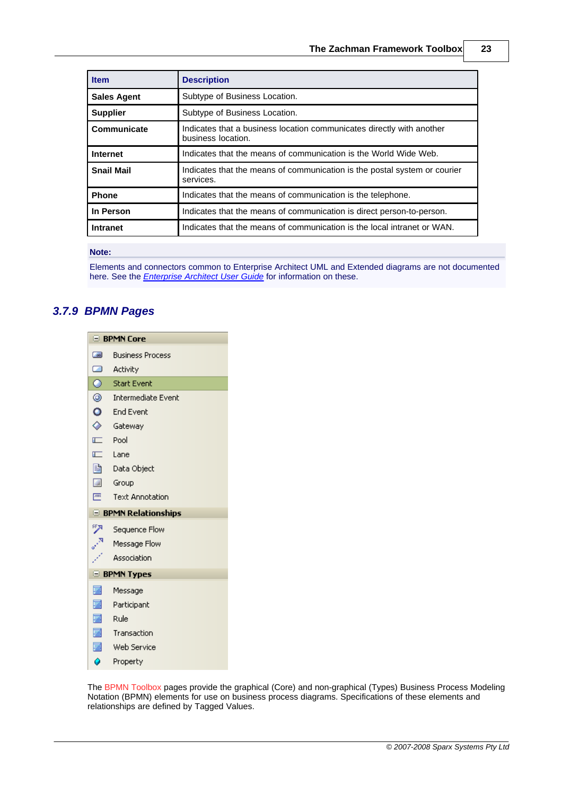| <b>Item</b>        | <b>Description</b>                                                                          |
|--------------------|---------------------------------------------------------------------------------------------|
| <b>Sales Agent</b> | Subtype of Business Location.                                                               |
| <b>Supplier</b>    | Subtype of Business Location.                                                               |
| Communicate        | Indicates that a business location communicates directly with another<br>business location. |
| Internet           | Indicates that the means of communication is the World Wide Web.                            |
| <b>Snail Mail</b>  | Indicates that the means of communication is the postal system or courier<br>services.      |
| <b>Phone</b>       | Indicates that the means of communication is the telephone.                                 |
| In Person          | Indicates that the means of communication is direct person-to-person.                       |
| <b>Intranet</b>    | Indicates that the means of communication is the local intranet or WAN.                     |

#### **Note:**

Elements and connectors common to Enterprise Architect UML and Extended diagrams are not documented here. See the *[Enterprise Architect User Guide](http://www.sparxsystems.com.au/EAUserGuide/index.html?objecttoolbar.htm)* for information on these.

### <span id="page-26-0"></span>*3.7.9 BPMN Pages*

| <b>E</b> BPMN Core      |                           |  |
|-------------------------|---------------------------|--|
| $\Box$                  | <b>Business Process</b>   |  |
| $\Box$                  | Activity                  |  |
| $\circ$                 | <b>Start Event</b>        |  |
| ◉                       | <b>Intermediate Event</b> |  |
| $\bullet$               | <b>End Event</b>          |  |
| $\diamond$              | Gateway                   |  |
| E                       | Pool                      |  |
| $\blacksquare$          | Lane                      |  |
| 昏。                      | Data Object               |  |
|                         | 6roup                     |  |
| $\overline{\text{ABE}}$ | <b>Text Annotation</b>    |  |
| E BPMN Relationships    |                           |  |
| 罗                       | Sequence Flow             |  |
| or <sup>is</sup>        | Message Flow              |  |
|                         | Association               |  |
|                         | <b>E BPMN Types</b>       |  |
| 圉                       | Message                   |  |
| 冒                       | Participant               |  |
| 囯                       | Rule                      |  |
| 扂                       | Transaction               |  |
| 畐                       | Web Service               |  |
| ô                       | Property                  |  |

The BPMN Toolbox pages provide the graphical (Core) and non-graphical (Types) Business Process Modeling Notation (BPMN) elements for use on business process diagrams. Specifications of these elements and relationships are defined by Tagged Values.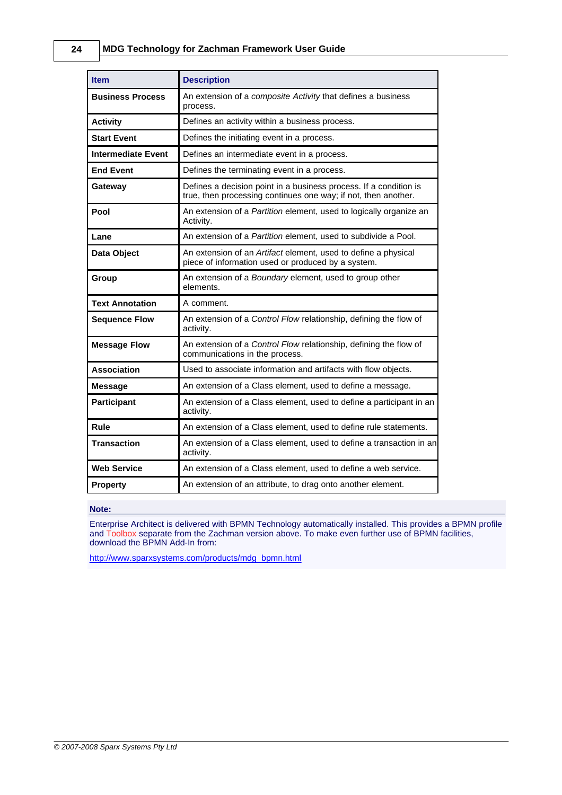| <b>Item</b>               | <b>Description</b>                                                                                                                  |
|---------------------------|-------------------------------------------------------------------------------------------------------------------------------------|
| <b>Business Process</b>   | An extension of a composite Activity that defines a business<br>process.                                                            |
| <b>Activity</b>           | Defines an activity within a business process.                                                                                      |
| <b>Start Event</b>        | Defines the initiating event in a process.                                                                                          |
| <b>Intermediate Event</b> | Defines an intermediate event in a process.                                                                                         |
| <b>End Event</b>          | Defines the terminating event in a process.                                                                                         |
| Gateway                   | Defines a decision point in a business process. If a condition is<br>true, then processing continues one way; if not, then another. |
| Pool                      | An extension of a Partition element, used to logically organize an<br>Activity.                                                     |
| Lane                      | An extension of a Partition element, used to subdivide a Pool.                                                                      |
| Data Object               | An extension of an Artifact element, used to define a physical<br>piece of information used or produced by a system.                |
| Group                     | An extension of a Boundary element, used to group other<br>elements.                                                                |
| <b>Text Annotation</b>    | A comment.                                                                                                                          |
| <b>Sequence Flow</b>      | An extension of a Control Flow relationship, defining the flow of<br>activity.                                                      |
| <b>Message Flow</b>       | An extension of a Control Flow relationship, defining the flow of<br>communications in the process.                                 |
| <b>Association</b>        | Used to associate information and artifacts with flow objects.                                                                      |
| <b>Message</b>            | An extension of a Class element, used to define a message.                                                                          |
| <b>Participant</b>        | An extension of a Class element, used to define a participant in an<br>activity.                                                    |
| Rule                      | An extension of a Class element, used to define rule statements.                                                                    |
| <b>Transaction</b>        | An extension of a Class element, used to define a transaction in an<br>activity.                                                    |
| <b>Web Service</b>        | An extension of a Class element, used to define a web service.                                                                      |
| <b>Property</b>           | An extension of an attribute, to drag onto another element.                                                                         |

#### **Note:**

Enterprise Architect is delivered with BPMN Technology automatically installed. This provides a BPMN profile and Toolbox separate from the Zachman version above. To make even further use of BPMN facilities, download the BPMN Add-In from:

[http://www.sparxsystems.com/products/mdg\\_bpmn.html](http://www.sparxsystems.com/products/mdg_bpmn.html)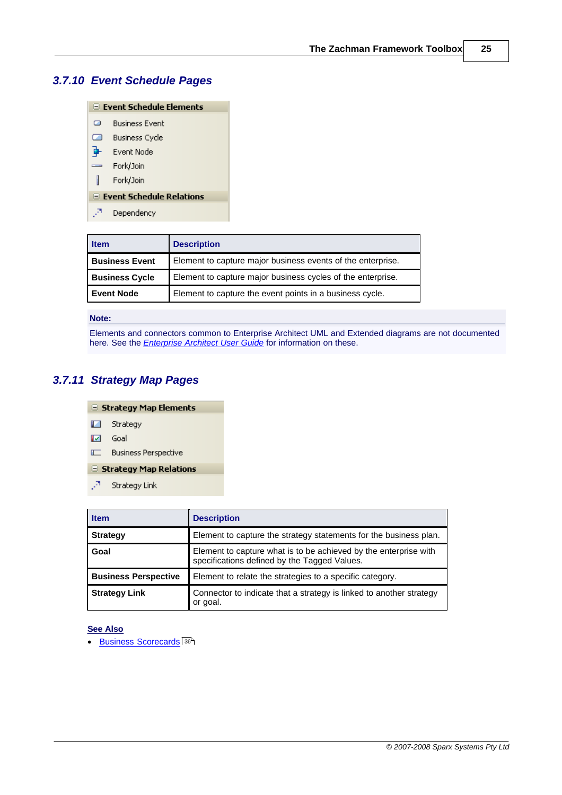### <span id="page-28-0"></span>*3.7.10 Event Schedule Pages*

| $\boxdot$ Event Schedule Elements  |                       |  |
|------------------------------------|-----------------------|--|
| ▭                                  | <b>Business Event</b> |  |
| z                                  | <b>Business Cycle</b> |  |
|                                    | Event Node            |  |
|                                    | Fork/Join             |  |
|                                    | Fork/Join             |  |
| $\boxdot$ Event Schedule Relations |                       |  |
| 57                                 | Dependency            |  |
|                                    |                       |  |

| <b>Item</b>           | <b>Description</b>                                          |
|-----------------------|-------------------------------------------------------------|
| <b>Business Event</b> | Element to capture major business events of the enterprise. |
| <b>Business Cycle</b> | Element to capture major business cycles of the enterprise. |
| <b>Event Node</b>     | Element to capture the event points in a business cycle.    |

#### **Note:**

Elements and connectors common to Enterprise Architect UML and Extended diagrams are not documented here. See the *[Enterprise Architect User Guide](http://www.sparxsystems.com/EAUserGuide/index.html?objecttoolbar.htm)* for information on these.

### <span id="page-28-1"></span>*3.7.11 Strategy Map Pages*

|  | $\Box$ Strategy Map Elements |
|--|------------------------------|
|  |                              |

- $\blacksquare$ Strategy
- $\overline{\text{M}}$ Goal
- **ILC** Business Perspective
- **E** Strategy Map Relations
- Δ Strategy Link

| <b>Item</b>                 | <b>Description</b>                                                                                               |  |
|-----------------------------|------------------------------------------------------------------------------------------------------------------|--|
| <b>Strategy</b>             | Element to capture the strategy statements for the business plan.                                                |  |
| Goal                        | Element to capture what is to be achieved by the enterprise with<br>specifications defined by the Tagged Values. |  |
| <b>Business Perspective</b> | Element to relate the strategies to a specific category.                                                         |  |
| <b>Strategy Link</b>        | Connector to indicate that a strategy is linked to another strategy<br>or goal.                                  |  |

#### **See Also**

**·** [Business Scorecards](#page-39-0)<sup>36</sup>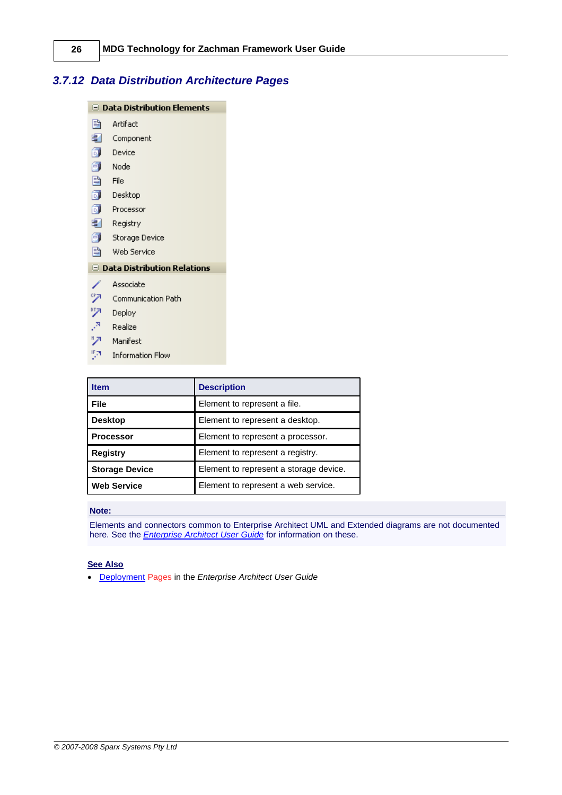### <span id="page-29-0"></span>*3.7.12 Data Distribution Architecture Pages*

|    | $\boxdot$ Data Distribution Elements |  |
|----|--------------------------------------|--|
| B  | Artifact                             |  |
| €. | Component                            |  |
| 甸  | Device                               |  |
| 氤  | <b>Node</b>                          |  |
| 昏  | File                                 |  |
|    | <b>Desktop</b>                       |  |
|    | <b>Processor</b>                     |  |
| €  | Registry                             |  |
| 6. | Storage Device                       |  |
| B. | Web Service                          |  |
|    | $\Box$ Data Distribution Relations   |  |
|    | Associate                            |  |
| ツ  | Communication Path                   |  |
| ヅ  | Deploy                               |  |
| ,ч | Realize                              |  |
| ヮ  | Manifest                             |  |
|    | <b>Information Flow</b>              |  |

| <b>Item</b>           | <b>Description</b>                     |
|-----------------------|----------------------------------------|
| <b>File</b>           | Element to represent a file.           |
| <b>Desktop</b>        | Element to represent a desktop.        |
| <b>Processor</b>      | Element to represent a processor.      |
| <b>Registry</b>       | Element to represent a registry.       |
| <b>Storage Device</b> | Element to represent a storage device. |
| <b>Web Service</b>    | Element to represent a web service.    |

#### **Note:**

Elements and connectors common to Enterprise Architect UML and Extended diagrams are not documented here. See the *[Enterprise Architect User Guide](http://www.sparxsystems.com/EAUserGuide/index.html?objecttoolbar.htm)* for information on these.

#### **See Also**

· [Deployment](http://www.sparxsystems.com/EAUserGuide/index.html?physicalgroup_2.htm) Pages in the *Enterprise Architect User Guide*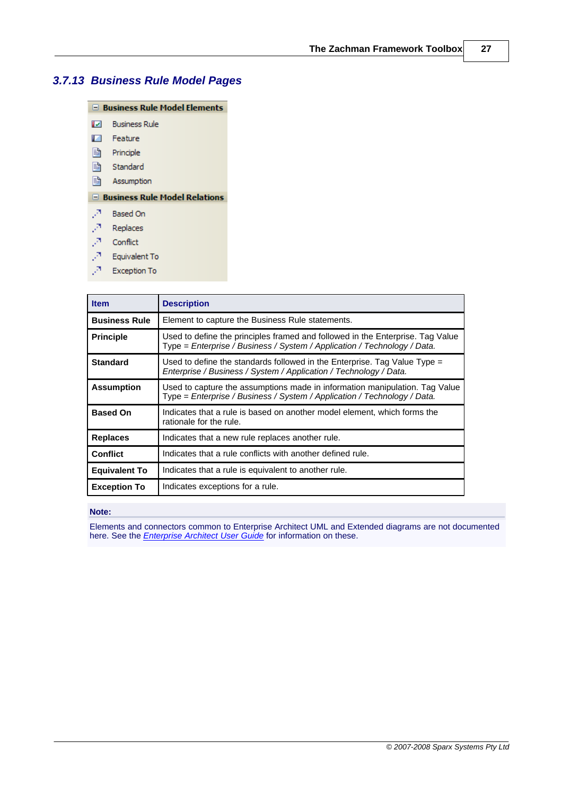### <span id="page-30-0"></span>*3.7.13 Business Rule Model Pages*

| $\blacksquare$ Business Rule Model Elements |                                      |  |
|---------------------------------------------|--------------------------------------|--|
| พ                                           | <b>Business Rule</b>                 |  |
| И                                           | Feature                              |  |
| 昏                                           | Principle                            |  |
| B                                           | Standard                             |  |
| 昏                                           | Assumption                           |  |
|                                             | $\Box$ Business Rule Model Relations |  |
| Ø                                           | <b>Based On</b>                      |  |
| л                                           | Replaces                             |  |
| JÄ.                                         | Conflict                             |  |
| У,<br>۰                                     | Equivalent To                        |  |

 $\mathcal{P}$ **Exception To** 

| <b>Item</b>          | <b>Description</b>                                                                                                                                         |
|----------------------|------------------------------------------------------------------------------------------------------------------------------------------------------------|
| <b>Business Rule</b> | Element to capture the Business Rule statements.                                                                                                           |
| <b>Principle</b>     | Used to define the principles framed and followed in the Enterprise. Tag Value<br>Type = Enterprise / Business / System / Application / Technology / Data. |
| <b>Standard</b>      | Used to define the standards followed in the Enterprise. Tag Value Type =<br>Enterprise / Business / System / Application / Technology / Data.             |
| <b>Assumption</b>    | Used to capture the assumptions made in information manipulation. Tag Value<br>Type = Enterprise / Business / System / Application / Technology / Data.    |
| <b>Based On</b>      | Indicates that a rule is based on another model element, which forms the<br>rationale for the rule.                                                        |
| <b>Replaces</b>      | Indicates that a new rule replaces another rule.                                                                                                           |
| <b>Conflict</b>      | Indicates that a rule conflicts with another defined rule.                                                                                                 |
| <b>Equivalent To</b> | Indicates that a rule is equivalent to another rule.                                                                                                       |
| <b>Exception To</b>  | Indicates exceptions for a rule.                                                                                                                           |

#### **Note:**

Elements and connectors common to Enterprise Architect UML and Extended diagrams are not documented here. See the *[Enterprise Architect User Guide](http://www.sparxsystems.com/EAUserGuide/index.html?objecttoolbar.htm)* for information on these.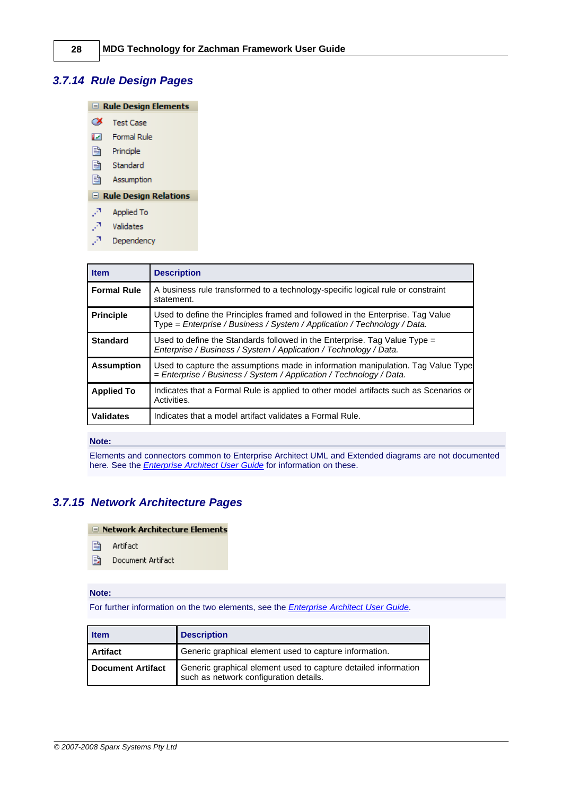### <span id="page-31-0"></span>*3.7.14 Rule Design Pages*

| $\Box$ Rule Design Elements  |                    |  |
|------------------------------|--------------------|--|
| જ                            | <b>Test Case</b>   |  |
| <b>M</b>                     | <b>Formal Rule</b> |  |
|                              | <b>B</b> Principle |  |
| e,                           | Standard           |  |
| B.                           | Assumption         |  |
| $\Box$ Rule Design Relations |                    |  |
| J.                           | <b>Applied To</b>  |  |
| JÄ.                          | Validates          |  |
| -7                           | Dependency         |  |

| <b>Item</b>        | <b>Description</b>                                                                                                                                         |
|--------------------|------------------------------------------------------------------------------------------------------------------------------------------------------------|
| <b>Formal Rule</b> | A business rule transformed to a technology-specific logical rule or constraint<br>statement.                                                              |
| <b>Principle</b>   | Used to define the Principles framed and followed in the Enterprise. Tag Value<br>Type = Enterprise / Business / System / Application / Technology / Data. |
| <b>Standard</b>    | Used to define the Standards followed in the Enterprise. Tag Value Type =<br>Enterprise / Business / System / Application / Technology / Data.             |
| <b>Assumption</b>  | Used to capture the assumptions made in information manipulation. Tag Value Type<br>= Enterprise / Business / System / Application / Technology / Data.    |
| <b>Applied To</b>  | Indicates that a Formal Rule is applied to other model artifacts such as Scenarios or<br>Activities.                                                       |
| <b>Validates</b>   | Indicates that a model artifact validates a Formal Rule.                                                                                                   |

#### **Note:**

Elements and connectors common to Enterprise Architect UML and Extended diagrams are not documented here. See the *[Enterprise Architect User Guide](http://www.sparxsystems.com/EAUserGuide/index.html?objecttoolbar.htm)* for information on these.

### <span id="page-31-1"></span>*3.7.15 Network Architecture Pages*

#### **El Network Architecture Elements**

- 昏 Artifact
- B Document Artifact

#### **Note:**

For further information on the two elements, see the *[Enterprise Architect User Guide](http://www.sparxsystems.com/EAUserGuide/index.html?objecttoolbar.htm)*.

| <b>Item</b>              | <b>Description</b>                                                                                       |
|--------------------------|----------------------------------------------------------------------------------------------------------|
| <b>Artifact</b>          | Generic graphical element used to capture information.                                                   |
| <b>Document Artifact</b> | Generic graphical element used to capture detailed information<br>such as network configuration details. |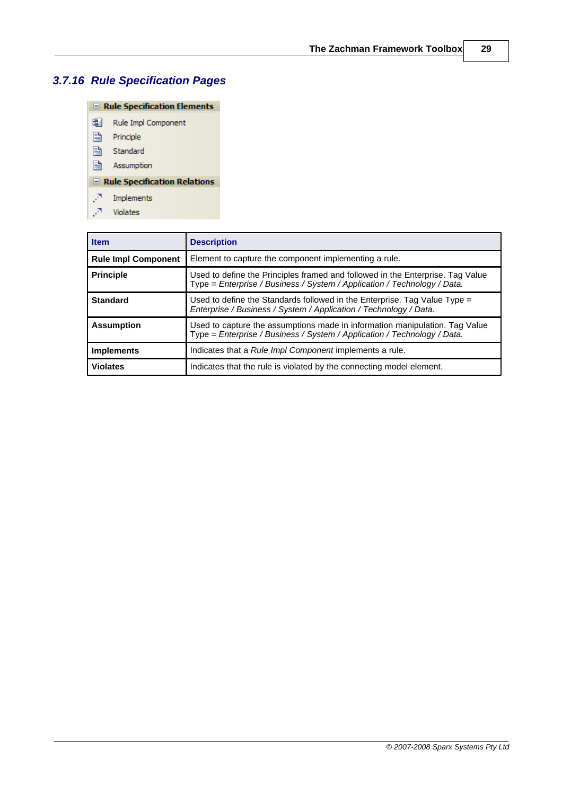## <span id="page-32-0"></span>*3.7.16 Rule Specification Pages*

| $\Box$ Rule Specification Elements |                                     |  |
|------------------------------------|-------------------------------------|--|
| 명1                                 | Rule Impl Component                 |  |
| B                                  | Principle                           |  |
| B                                  | Standard                            |  |
| e.                                 | Assumption                          |  |
|                                    | $\Box$ Rule Specification Relations |  |
| 79                                 | Implements                          |  |
| -7                                 | Violates                            |  |

| <b>Item</b>                | <b>Description</b>                                                                                                                                         |
|----------------------------|------------------------------------------------------------------------------------------------------------------------------------------------------------|
| <b>Rule Impl Component</b> | Element to capture the component implementing a rule.                                                                                                      |
| <b>Principle</b>           | Used to define the Principles framed and followed in the Enterprise. Tag Value<br>Type = Enterprise / Business / System / Application / Technology / Data. |
| <b>Standard</b>            | Used to define the Standards followed in the Enterprise. Tag Value Type $=$<br>Enterprise / Business / System / Application / Technology / Data.           |
| <b>Assumption</b>          | Used to capture the assumptions made in information manipulation. Tag Value<br>Type = Enterprise / Business / System / Application / Technology / Data.    |
| <b>Implements</b>          | Indicates that a Rule Impl Component implements a rule.                                                                                                    |
| <b>Violates</b>            | Indicates that the rule is violated by the connecting model element.                                                                                       |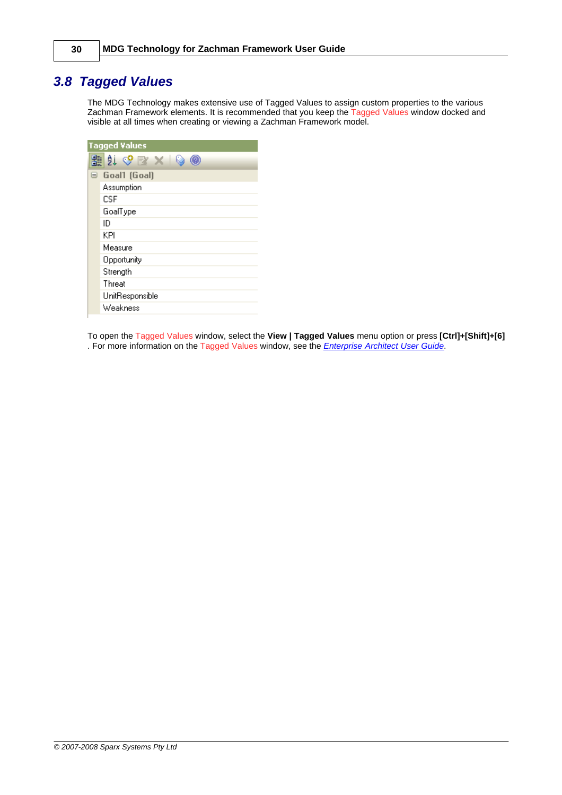## <span id="page-33-0"></span>*3.8 Tagged Values*

The MDG Technology makes extensive use of Tagged Values to assign custom properties to the various Zachman Framework elements. It is recommended that you keep the Tagged Values window docked and visible at all times when creating or viewing a Zachman Framework model.

|   | <b>Tagged Values</b> |
|---|----------------------|
|   | ∰ {↓ ◆ E* ×          |
| Θ | Goal1 (Goal)         |
|   | Assumption           |
|   | CSE                  |
|   | GoalType             |
|   | ID                   |
|   | ΚPΙ                  |
|   | Measure              |
|   | Opportunity          |
|   | Strength             |
|   | Threat               |
|   | UnitResponsible      |
|   | Weakness             |

To open the Tagged Values window, select the **View | Tagged Values** menu option or press **[Ctrl]+[Shift]+[6]** . For more information on the Tagged Values window, see the *[Enterprise Architect User Guide](http://www.sparxsystems.com/EAUserGuide/index.html?thetaggedvaluestab.htm)*.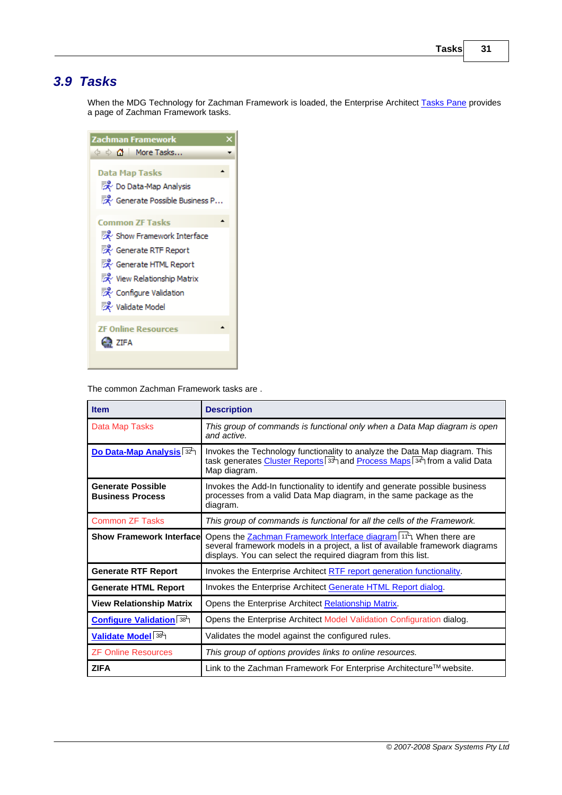### <span id="page-34-0"></span>*3.9 Tasks*

When the MDG Technology for Zachman Framework is loaded, the Enterprise Architect [Tasks Pane](http://www.sparxsystems.com.au/EAUserGuide/index.html?instanthelpwindow.htm) provides a page of Zachman Framework tasks.

| <b>Zachman Framework</b>       |
|--------------------------------|
| ் ் ∩் More Tasks              |
| <b>Data Map Tasks</b>          |
| 永 Do Data-Map Analysis         |
| 录 Generate Possible Business P |
| <b>Common ZF Tasks</b>         |
|                                |
| Show Framework Interface       |
| 录 Generate RTF Report          |
| 灵 Generate HTML Report         |
| 灵 View Relationship Matrix     |
| 录 Configure Validation         |
| <b>浸</b> Validate Model        |
| <b>ZF Online Resources</b>     |
|                                |
| <b>Contract ZIFA</b>           |
|                                |

The common Zachman Framework tasks are .

| Item                                                | <b>Description</b>                                                                                                                                                                                                              |
|-----------------------------------------------------|---------------------------------------------------------------------------------------------------------------------------------------------------------------------------------------------------------------------------------|
| Data Map Tasks                                      | This group of commands is functional only when a Data Map diagram is open<br>and active.                                                                                                                                        |
| Do Data-Map Analysis 32                             | Invokes the Technology functionality to analyze the Data Map diagram. This<br>task generates Cluster Reports 33 and Process Maps 34 from a valid Data<br>Map diagram.                                                           |
| <b>Generate Possible</b><br><b>Business Process</b> | Invokes the Add-In functionality to identify and generate possible business<br>processes from a valid Data Map diagram, in the same package as the<br>diagram.                                                                  |
| <b>Common ZF Tasks</b>                              | This group of commands is functional for all the cells of the Framework.                                                                                                                                                        |
| <b>Show Framework Interfacel</b>                    | Opens the Zachman Framework Interface diagram 1 <sup>1</sup> . When there are<br>several framework models in a project, a list of available framework diagrams<br>displays. You can select the required diagram from this list. |
| <b>Generate RTF Report</b>                          | Invokes the Enterprise Architect RTF report generation functionality.                                                                                                                                                           |
| <b>Generate HTML Report</b>                         | Invokes the Enterprise Architect Generate HTML Report dialog.                                                                                                                                                                   |
| <b>View Relationship Matrix</b>                     | Opens the Enterprise Architect Relationship Matrix.                                                                                                                                                                             |
| Configure Validation 38                             | Opens the Enterprise Architect Model Validation Configuration dialog.                                                                                                                                                           |
| Validate Model <sup>38</sup>                        | Validates the model against the configured rules.                                                                                                                                                                               |
| <b>ZF Online Resources</b>                          | This group of options provides links to online resources.                                                                                                                                                                       |
| <b>ZIFA</b>                                         | Link to the Zachman Framework For Enterprise Architecture™ website.                                                                                                                                                             |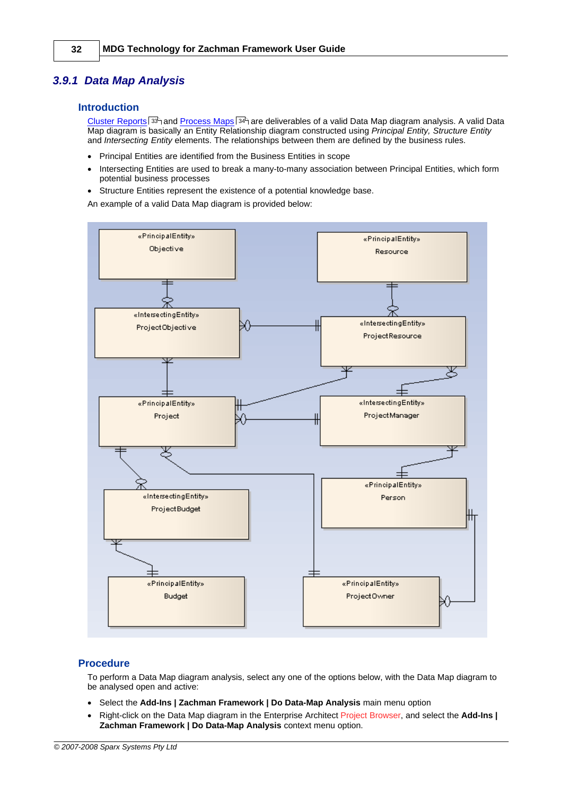#### <span id="page-35-0"></span>*3.9.1 Data Map Analysis*

#### **Introduction**

[Cluster Reports](#page-36-0)<sup>| 33</sup>ী and <u>[Process Maps](#page-37-0)</u>| 34 ীare deliverables of a valid Data Map diagram analysis. A valid Data Map diagram is basically an Entity Relationship diagram constructed using *Principal Entity, Structure Entity* and *Intersecting Entity* elements. The relationships between them are defined by the business rules.

- · Principal Entities are identified from the Business Entities in scope
- Intersecting Entities are used to break a many-to-many association between Principal Entities, which form potential business processes
- · Structure Entities represent the existence of a potential knowledge base.

An example of a valid Data Map diagram is provided below:



#### **Procedure**

<span id="page-35-1"></span>To perform a Data Map diagram analysis, select any one of the options below, with the Data Map diagram to be analysed open and active:

- · Select the **Add-Ins | Zachman Framework | Do Data-Map Analysis** main menu option
- · Right-click on the Data Map diagram in the Enterprise Architect Project Browser, and select the **Add-Ins | Zachman Framework | Do Data-Map Analysis** context menu option.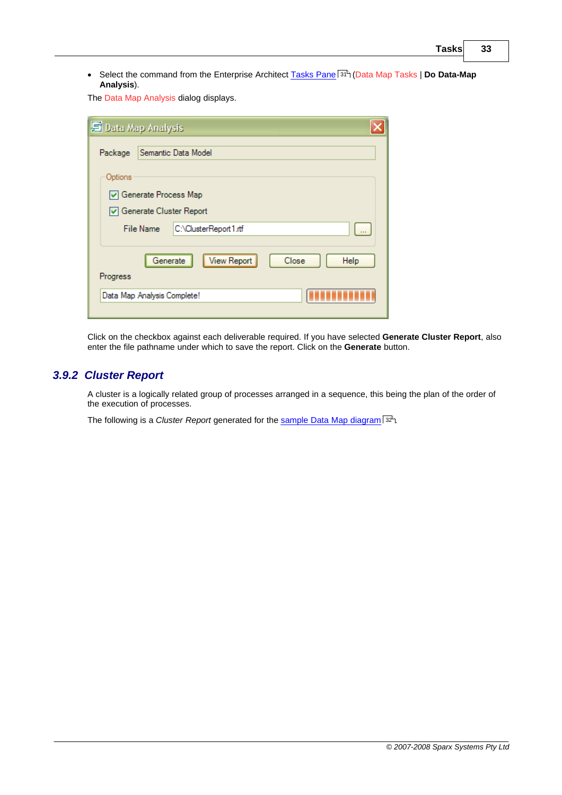• Select the command from the Enterprise Architect <u>[Tasks Pane](#page-34-0)</u> 31 4 (Data Map Tasks | **Do Data-Map Analysis**).

The Data Map Analysis dialog displays.

| Data Map Analysis |                             |                       |               |  |
|-------------------|-----------------------------|-----------------------|---------------|--|
| Package           |                             | Semantic Data Model   |               |  |
| Options           |                             |                       |               |  |
|                   | □ Generate Process Map      |                       |               |  |
|                   | □ Generate Cluster Report   |                       |               |  |
|                   | <b>File Name</b>            | C:\ClusterReport1.rtf |               |  |
| Progress          | Generate                    | View Report           | Close<br>Help |  |
|                   | Data Map Analysis Complete! |                       |               |  |

Click on the checkbox against each deliverable required. If you have selected **Generate Cluster Report**, also enter the file pathname under which to save the report. Click on the **Generate** button.

#### <span id="page-36-0"></span>*3.9.2 Cluster Report*

A cluster is a logically related group of processes arranged in a sequence, this being the plan of the order of the execution of processes.

The following is a *Cluster Report* generated for the <u>sample Data Map diagram</u>| 32<sup>h</sup>.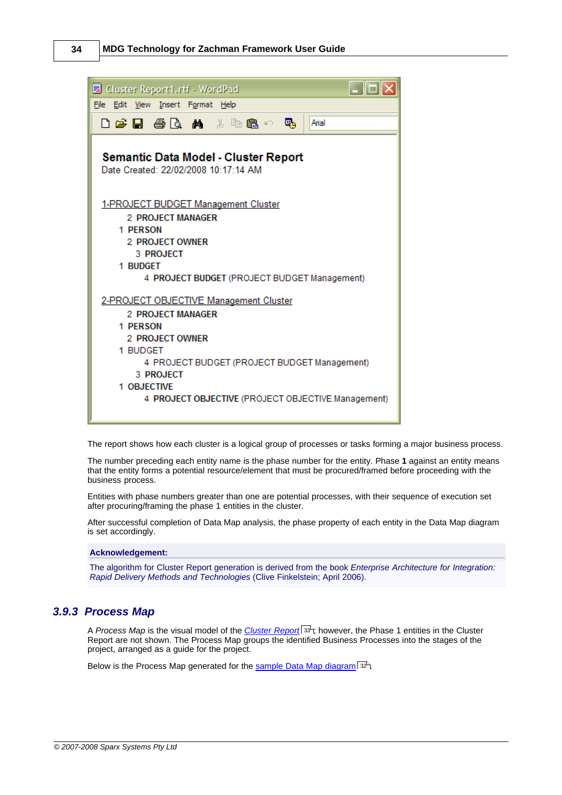

The report shows how each cluster is a logical group of processes or tasks forming a major business process.

The number preceding each entity name is the phase number for the entity. Phase **1** against an entity means that the entity forms a potential resource/element that must be procured/framed before proceeding with the business process.

Entities with phase numbers greater than one are potential processes, with their sequence of execution set after procuring/framing the phase 1 entities in the cluster.

After successful completion of Data Map analysis, the phase property of each entity in the Data Map diagram is set accordingly.

#### **Acknowledgement:**

The algorithm for Cluster Report generation is derived from the book *Enterprise Architecture for Integration: Rapid Delivery Methods and Technologies* (Clive Finkelstein; April 2006).

#### <span id="page-37-0"></span>*3.9.3 Process Map*

A *Process Map* is the visual model of the <u>[Cluster Report](#page-36-0)</u>l 33<sup>4</sup>; however, the Phase 1 entities in the Cluster Report are not shown. The Process Map groups the identified Business Processes into the stages of the project, arranged as a guide for the project.

Below is the Process Map generated for the <u>[sample Data Map diagram](#page-35-1)</u>l 32<sup>5</sup>).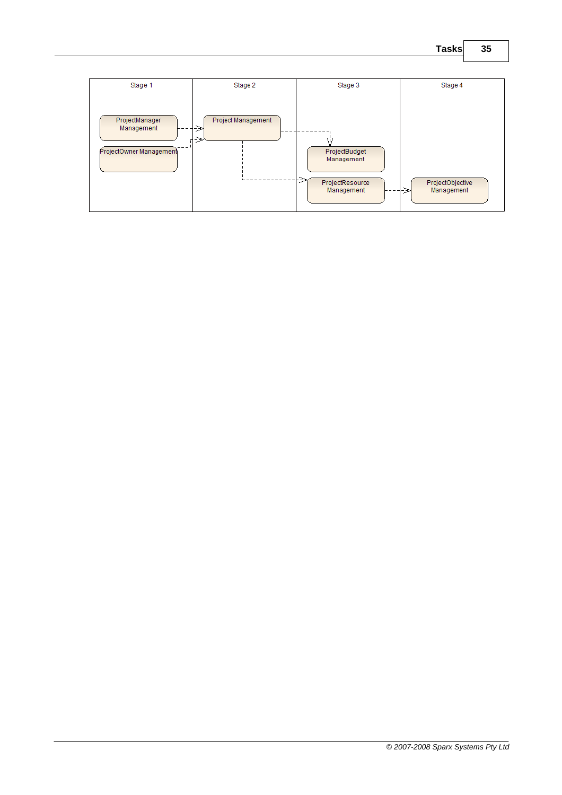| Stage 1                                                 | Stage 2            | Stage 3                                                           | Stage 4                        |
|---------------------------------------------------------|--------------------|-------------------------------------------------------------------|--------------------------------|
| ProjectManager<br>Management<br>ProjectOwner Management | Project Management | ProjectBudget<br>Management<br>↗<br>ProjectResource<br>Management | ProjectObjective<br>Management |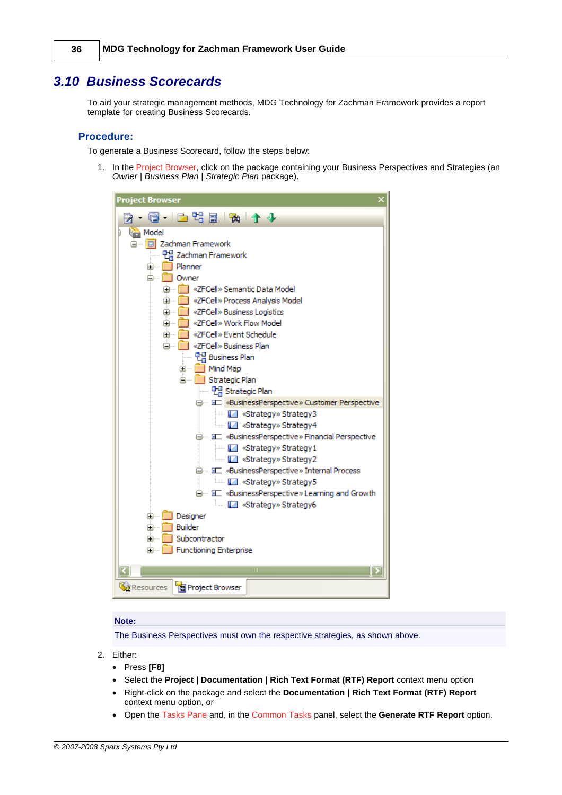#### <span id="page-39-0"></span>*3.10 Business Scorecards*

To aid your strategic management methods, MDG Technology for Zachman Framework provides a report template for creating Business Scorecards.

#### **Procedure:**

To generate a Business Scorecard, follow the steps below:

1. In the Project Browser, click on the package containing your Business Perspectives and Strategies (an *Owner | Business Plan | Strategic Plan* package).

| <b>Project Browser</b>                                                                                                                                                                                                                                                                                                      |
|-----------------------------------------------------------------------------------------------------------------------------------------------------------------------------------------------------------------------------------------------------------------------------------------------------------------------------|
|                                                                                                                                                                                                                                                                                                                             |
| Model                                                                                                                                                                                                                                                                                                                       |
| □ B Zachman Framework                                                                                                                                                                                                                                                                                                       |
| <u></u> . 만큼 Zachman Framework                                                                                                                                                                                                                                                                                              |
| <b>A</b> Planner                                                                                                                                                                                                                                                                                                            |
| ė-<br>Owner                                                                                                                                                                                                                                                                                                                 |
| <b>XZFCell</b> » Semantic Data Model<br>田…                                                                                                                                                                                                                                                                                  |
| <b>EXAMPLE ASS</b> <a> <b>EXAMPLE <a> REGILE <a> REGILE <a> REGILE <a> REGILE <a> REGILE <a> REGILE <a> REGILE <a> REGILE <a> REGILE <a> REGILE <a> REGILE <a> REGILE <a> REGILE <a> REGILE <a> REGILE <a> REGILE <a> REGILE <a> REGI</a></a></a></a></a></a></a></a></a></a></a></a></a></a></a></a></a></a></b><br/>田</a> |
| <b>EXAMPLE SECTION</b> Business Logistics<br>Œ                                                                                                                                                                                                                                                                              |
| <b>I</b> «ZFCell» Work Flow Model<br>Ŧ                                                                                                                                                                                                                                                                                      |
| <b>R</b> «ZFCell» Event Schedule<br>Ŧ                                                                                                                                                                                                                                                                                       |
| <b>XECell</b> » Business Plan                                                                                                                                                                                                                                                                                               |
| 만큼 Business Plan                                                                                                                                                                                                                                                                                                            |
| <b>E</b> Mind Map                                                                                                                                                                                                                                                                                                           |
| <sup>1</sup> Strategic Plan                                                                                                                                                                                                                                                                                                 |
| 만큼 Strategic Plan                                                                                                                                                                                                                                                                                                           |
| □… III «BusinessPerspective» Customer Perspective                                                                                                                                                                                                                                                                           |
| - <b>I</b> «Strategy» Strategy3                                                                                                                                                                                                                                                                                             |
| Strategy» Strategy4                                                                                                                                                                                                                                                                                                         |
| <b>E</b> GE «BusinessPerspective» Financial Perspective                                                                                                                                                                                                                                                                     |
| - <b>I</b> <strategy» strategy1<="" td=""></strategy»>                                                                                                                                                                                                                                                                      |
| <b>Example 3</b> «Strategy» Strategy2<br><b>A</b> I <businessperspective> Internal Process</businessperspective>                                                                                                                                                                                                            |
| im M «Strategy» Strategy5                                                                                                                                                                                                                                                                                                   |
| <b>A</b> I «BusinessPerspective» Learning and Growth                                                                                                                                                                                                                                                                        |
| Strategy» Strategy6                                                                                                                                                                                                                                                                                                         |
| <b>E</b> Designer                                                                                                                                                                                                                                                                                                           |
| <b>Builder</b><br><b>主…</b>                                                                                                                                                                                                                                                                                                 |
| Subcontractor<br>[∓]…                                                                                                                                                                                                                                                                                                       |
| <b>Functioning Enterprise</b>                                                                                                                                                                                                                                                                                               |
|                                                                                                                                                                                                                                                                                                                             |
| $\mathbf{m}$                                                                                                                                                                                                                                                                                                                |
| Project Browser<br>Resources                                                                                                                                                                                                                                                                                                |

#### **Note:**

The Business Perspectives must own the respective strategies, as shown above.

- 2. Either:
	- · Press **[F8]**
	- · Select the **Project | Documentation | Rich Text Format (RTF) Report** context menu option
	- · Right-click on the package and select the **Documentation | Rich Text Format (RTF) Report** context menu option, or
	- · Open the Tasks Pane and, in the Common Tasks panel, select the **Generate RTF Report** option.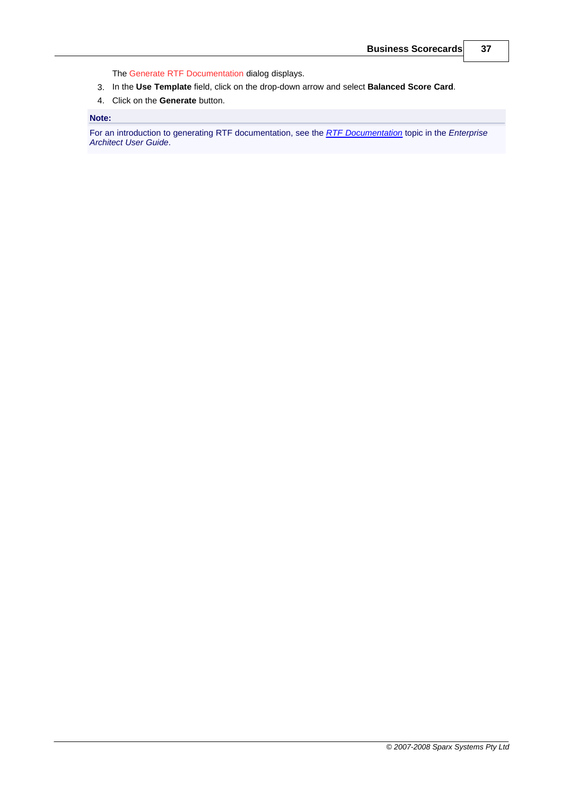The Generate RTF Documentation dialog displays.

- 3. In the **Use Template** field, click on the drop-down arrow and select **Balanced Score Card**.
- 4. Click on the **Generate** button.

#### **Note:**

For an introduction to generating RTF documentation, see the *[RTF Documentation](http://www.sparxsystems.com/EAUserGuide/index.html?rtfdocuments.htm)* topic in the *Enterprise Architect User Guide*.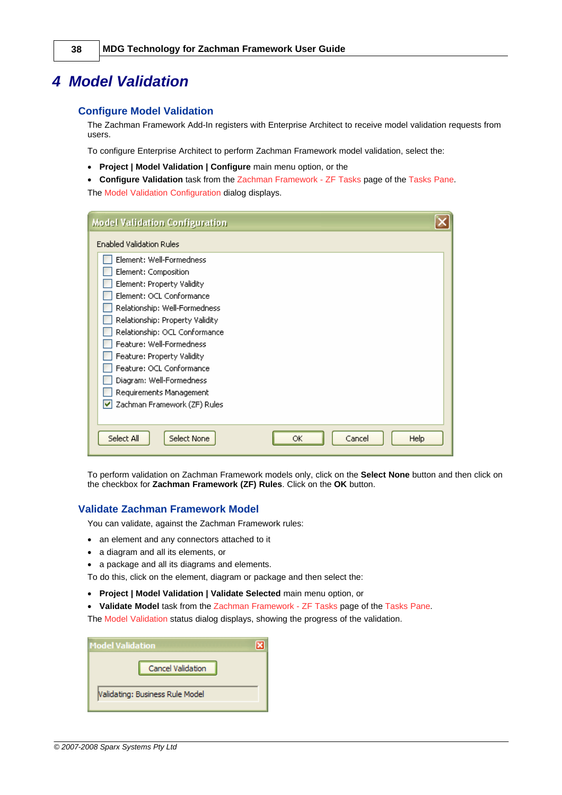## <span id="page-41-0"></span>*4 Model Validation*

#### **Configure Model Validation**

<span id="page-41-1"></span>The Zachman Framework Add-In registers with Enterprise Architect to receive model validation requests from users.

To configure Enterprise Architect to perform Zachman Framework model validation, select the:

- · **Project | Model Validation | Configure** main menu option, or the
- · **Configure Validation** task from the Zachman Framework ZF Tasks page of the Tasks Pane. The Model Validation Configuration dialog displays.

| <b>Model Validation Configuration</b>                                                                                                                                                                                                                                                                                                                                                        |
|----------------------------------------------------------------------------------------------------------------------------------------------------------------------------------------------------------------------------------------------------------------------------------------------------------------------------------------------------------------------------------------------|
| <b>Enabled Validation Rules</b>                                                                                                                                                                                                                                                                                                                                                              |
| Element: Well-Formedness<br>Element: Composition<br>Element: Property Validity<br>Element: OCL Conformance<br>Relationship: Well-Formedness<br>Relationship: Property Validity<br>Relationship: OCL Conformance<br>Feature: Well-Formedness<br>Feature: Property Validity<br>Feature: OCL Conformance<br>Diagram: Well-Formedness<br>Requirements Management<br>Zachman Framework (ZF) Rules |
| Select All<br>Select None<br>Cancel<br><b>Help</b><br>ОК                                                                                                                                                                                                                                                                                                                                     |

To perform validation on Zachman Framework models only, click on the **Select None** button and then click on the checkbox for **Zachman Framework (ZF) Rules**. Click on the **OK** button.

#### **Validate Zachman Framework Model**

<span id="page-41-2"></span>You can validate, against the Zachman Framework rules:

- · an element and any connectors attached to it
- · a diagram and all its elements, or
- · a package and all its diagrams and elements.
- To do this, click on the element, diagram or package and then select the:
- · **Project | Model Validation | Validate Selected** main menu option, or
- · **Validate Model** task from the Zachman Framework ZF Tasks page of the Tasks Pane.

The Model Validation status dialog displays, showing the progress of the validation.

| <b>Model Validation</b>         |  |  |
|---------------------------------|--|--|
| Cancel Validation               |  |  |
| Validating: Business Rule Model |  |  |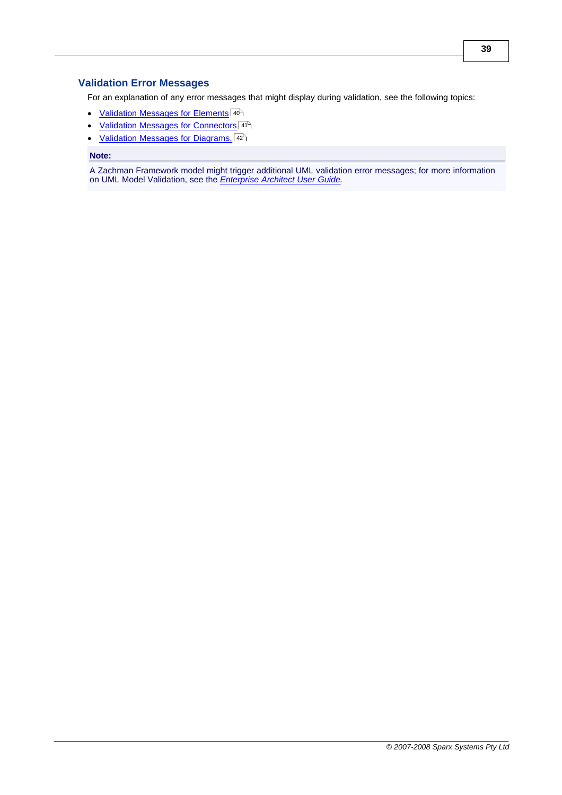#### **Validation Error Messages**

For an explanation of any error messages that might display during validation, see the following topics:

- · [Validation Messages for Elements](#page-43-0) 40
- [Validation Messages for Connectors](#page-44-0)<sup>| 41</sup>
- [Validation Messages for Diagrams.](#page-45-0) 42<sup>4</sup>

#### **Note:**

A Zachman Framework model might trigger additional UML validation error messages; for more information on UML Model Validation, see the *[Enterprise Architect User Guide](http://www.sparxsystems.com/EAUserGuide/index.html?model_validation.htm).*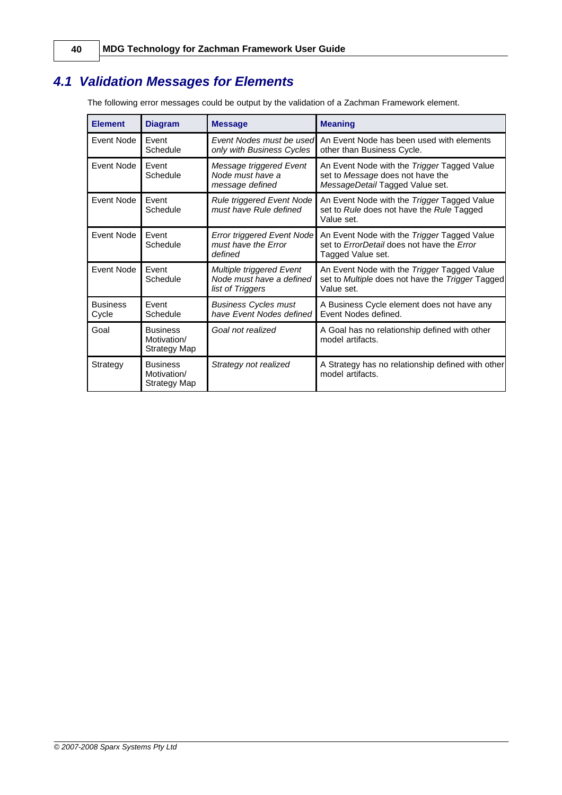## <span id="page-43-0"></span>*4.1 Validation Messages for Elements*

The following error messages could be output by the validation of a Zachman Framework element.

| <b>Element</b>           | <b>Diagram</b>                                 | <b>Message</b>                                                           | <b>Meaning</b>                                                                                                     |
|--------------------------|------------------------------------------------|--------------------------------------------------------------------------|--------------------------------------------------------------------------------------------------------------------|
| Event Node               | Event<br>Schedule                              | Event Nodes must be used<br>only with Business Cycles                    | An Event Node has been used with elements<br>other than Business Cycle.                                            |
| Event Node               | Event<br>Schedule                              | Message triggered Event<br>Node must have a<br>message defined           | An Event Node with the Trigger Tagged Value<br>set to Message does not have the<br>MessageDetail Tagged Value set. |
| Event Node               | Event<br>Schedule                              | Rule triggered Event Node<br>must have Rule defined                      | An Event Node with the Trigger Tagged Value<br>set to Rule does not have the Rule Tagged<br>Value set.             |
| Event Node               | Event<br>Schedule                              | Error triggered Event Node<br>must have the Frror<br>defined             | An Event Node with the Trigger Tagged Value<br>set to ErrorDetail does not have the Error<br>Tagged Value set.     |
| Event Node               | Event<br>Schedule                              | Multiple triggered Event<br>Node must have a defined<br>list of Triggers | An Event Node with the Trigger Tagged Value<br>set to Multiple does not have the Trigger Tagged<br>Value set.      |
| <b>Business</b><br>Cycle | Event<br>Schedule                              | <b>Business Cycles must</b><br>have Event Nodes defined                  | A Business Cycle element does not have any<br>Event Nodes defined.                                                 |
| Goal                     | <b>Business</b><br>Motivation/<br>Strategy Map | Goal not realized                                                        | A Goal has no relationship defined with other<br>model artifacts.                                                  |
| Strategy                 | <b>Business</b><br>Motivation/<br>Strategy Map | Strategy not realized                                                    | A Strategy has no relationship defined with other<br>model artifacts.                                              |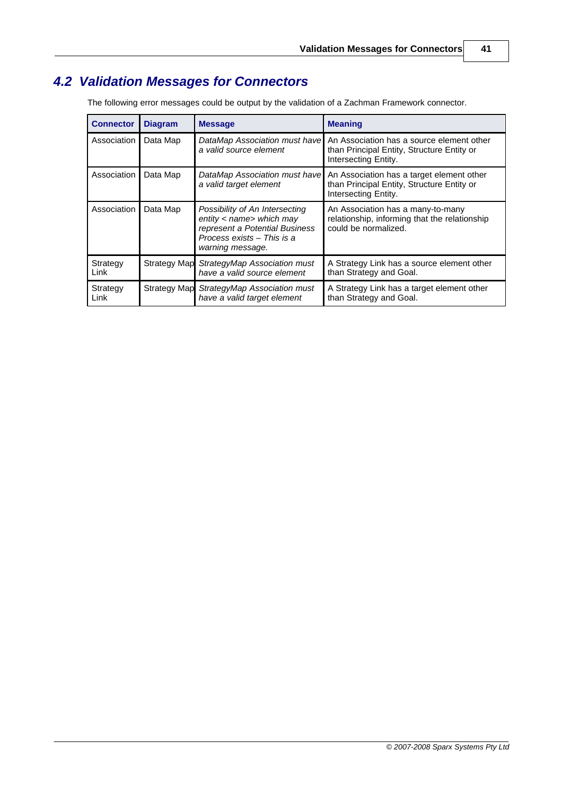## <span id="page-44-0"></span>*4.2 Validation Messages for Connectors*

|  |  | The following error messages could be output by the validation of a Zachman Framework connector. |  |
|--|--|--------------------------------------------------------------------------------------------------|--|
|  |  |                                                                                                  |  |

| <b>Connector</b> | <b>Diagram</b>      | <b>Message</b>                                                                                                                                 | <b>Meaning</b>                                                                                                  |
|------------------|---------------------|------------------------------------------------------------------------------------------------------------------------------------------------|-----------------------------------------------------------------------------------------------------------------|
| Association      | Data Map            | DataMap Association must have<br>a valid source element                                                                                        | An Association has a source element other<br>than Principal Entity, Structure Entity or<br>Intersecting Entity. |
| Association      | Data Map            | DataMap Association must have<br>a valid target element                                                                                        | An Association has a target element other<br>than Principal Entity, Structure Entity or<br>Intersecting Entity. |
| Association      | Data Map            | Possibility of An Intersecting<br>entity < name> which may<br>represent a Potential Business<br>Process exists - This is a<br>warning message. | An Association has a many-to-many<br>relationship, informing that the relationship<br>could be normalized.      |
| Strategy<br>Link | <b>Strategy Map</b> | StrategyMap Association must<br>have a valid source element                                                                                    | A Strategy Link has a source element other<br>than Strategy and Goal.                                           |
| Strategy<br>Link | <b>Strategy Map</b> | StrategyMap Association must<br>have a valid target element                                                                                    | A Strategy Link has a target element other<br>than Strategy and Goal.                                           |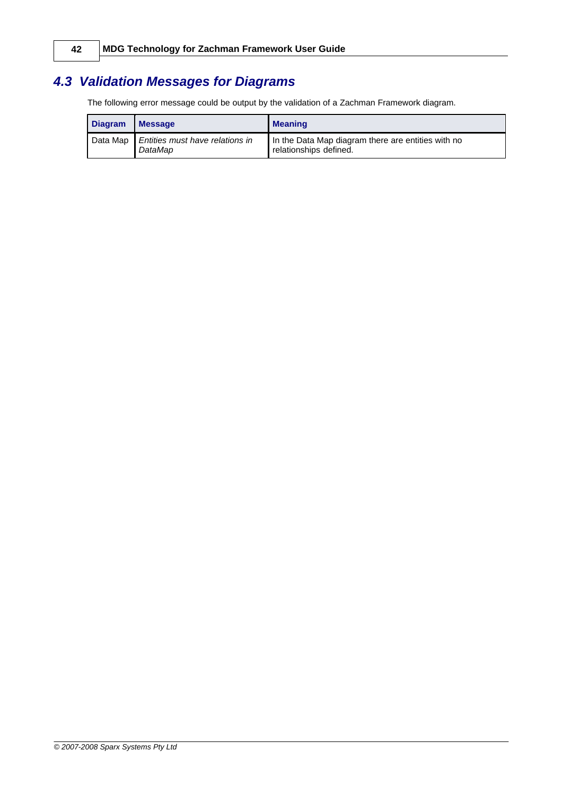## <span id="page-45-0"></span>*4.3 Validation Messages for Diagrams*

The following error message could be output by the validation of a Zachman Framework diagram.

| <b>Diagram</b> | <b>Message</b>                                        | <b>Meaning</b>                                                               |
|----------------|-------------------------------------------------------|------------------------------------------------------------------------------|
|                | Data Map   Entities must have relations in<br>DataMap | In the Data Map diagram there are entities with no<br>relationships defined. |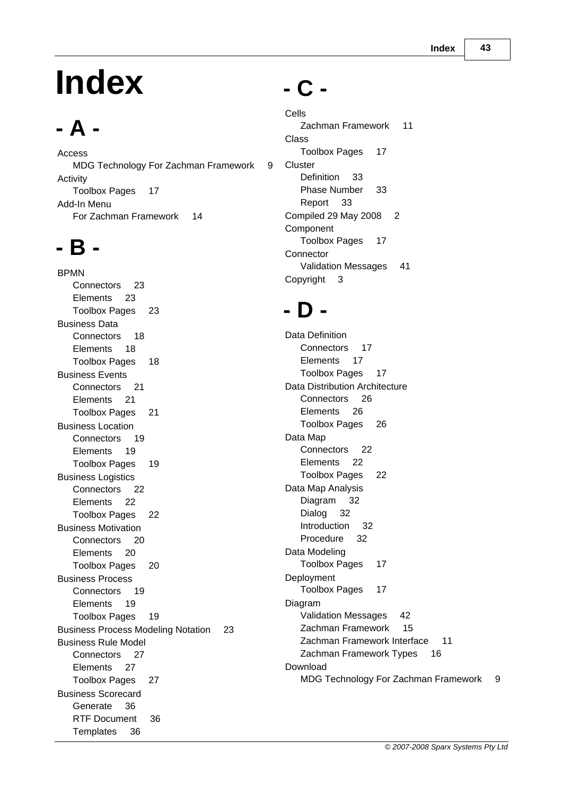# **Index**

## **- A -**

Access MDG Technology For Zachman Framework 9 Activity Toolbox Pages 17 Add-In Menu For Zachman Framework 14

## **- B -**

BPMN Connectors 23 Elements 23 Toolbox Pages 23 Business Data Connectors 18 Elements 18 Toolbox Pages 18 Business Events Connectors 21 Elements 21 Toolbox Pages 21 Business Location Connectors 19 Elements 19 Toolbox Pages 19 Business Logistics Connectors 22 Elements 22 Toolbox Pages 22 Business Motivation Connectors 20 Elements 20 Toolbox Pages 20 Business Process Connectors 19 Elements 19 Toolbox Pages 19 Business Process Modeling Notation 23 Business Rule Model Connectors 27 Elements 27 Toolbox Pages 27 Business Scorecard Generate 36 RTF Document 36 Templates 36

## **- C -**

Cells Zachman Framework 11 Class Toolbox Pages 17 **Cluster** Definition 33 Phase Number 33 Report 33 Compiled 29 May 2008 2 Component Toolbox Pages 17 **Connector** Validation Messages 41 Copyright 3

## **- D -**

Data Definition Connectors 17 Elements 17 Toolbox Pages 17 Data Distribution Architecture Connectors 26 Elements 26 Toolbox Pages 26 Data Map Connectors 22 Elements 22 Toolbox Pages 22 Data Map Analysis Diagram 32 Dialog 32 Introduction 32 Procedure 32 Data Modeling Toolbox Pages 17 Deployment Toolbox Pages 17 Diagram Validation Messages 42 Zachman Framework 15 Zachman Framework Interface 11 Zachman Framework Types 16 Download MDG Technology For Zachman Framework 9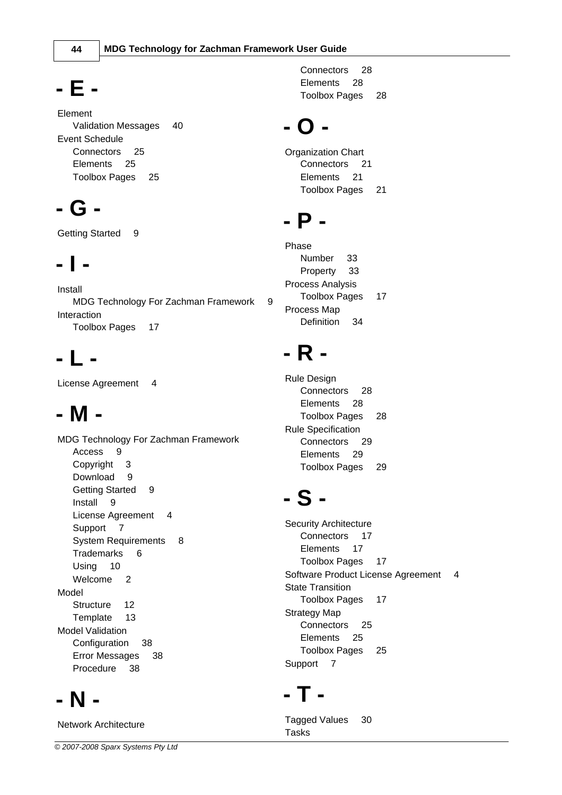## **- E -**

Element Validation Messages 40 Event Schedule Connectors 25 Elements 25 Toolbox Pages 25

## **- G -**

Getting Started 9

## **- I -**

Install MDG Technology For Zachman Framework 9 Interaction Toolbox Pages 17

## **- L -**

License Agreement 4

## **- M -**

MDG Technology For Zachman Framework Access 9 Copyright 3 Download 9 Getting Started 9 Install 9 License Agreement 4 Support 7 System Requirements 8 Trademarks 6 Using 10 Welcome<sub>2</sub> Model Structure 12 Template 13 Model Validation Configuration 38 Error Messages 38 Procedure 38

## **- N -**

Network Architecture

Connectors 28 Elements 28 Toolbox Pages 28

## **- O -**

Organization Chart Connectors 21 Elements 21 Toolbox Pages 21

## **- P -**

Phase Number 33 Property 33 Process Analysis Toolbox Pages 17 Process Map Definition 34

## **- R -**

Rule Design Connectors 28 Elements 28 Toolbox Pages 28 Rule Specification Connectors 29 Elements 29 Toolbox Pages 29

## **- S -**

Security Architecture Connectors 17 Elements 17 Toolbox Pages 17 Software Product License Agreement 4 State Transition Toolbox Pages 17 Strategy Map Connectors 25 Elements 25 Toolbox Pages 25 Support 7

## **- T -**

Tagged Values 30 Tasks

*© 2007-2008 Sparx Systems Pty Ltd*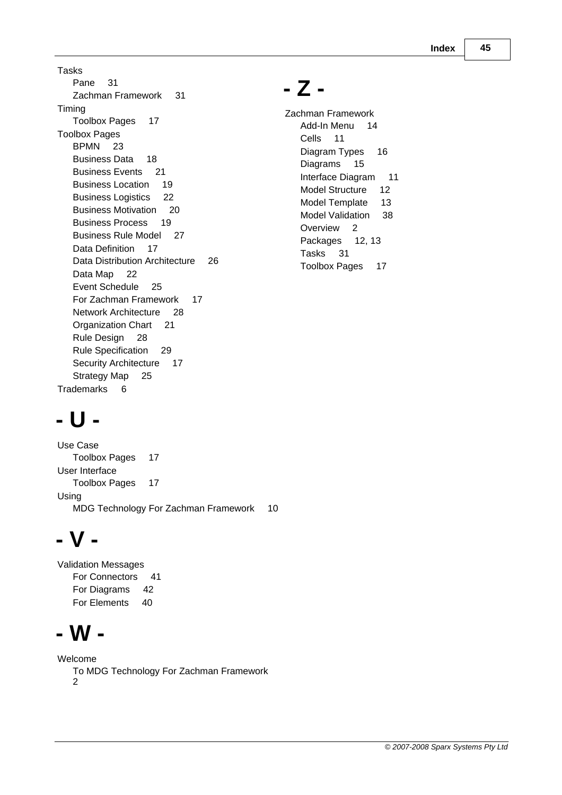Tasks Pane 31 Zachman Framework 31 Timing Toolbox Pages 17 Toolbox Pages BPMN 23 Business Data 18 Business Events 21 Business Location 19 Business Logistics 22 Business Motivation 20 Business Process 19 Business Rule Model 27 Data Definition 17 Data Distribution Architecture 26 Data Map 22 Event Schedule 25 For Zachman Framework 17 Network Architecture 28 Organization Chart 21 Rule Design 28 Rule Specification 29 Security Architecture 17 Strategy Map 25 Trademarks 6

## **- Z -**

Zachman Framework Add-In Menu 14 Cells 11 Diagram Types 16 Diagrams 15 Interface Diagram 11 Model Structure 12 Model Template 13 Model Validation 38 Overview 2 Packages 12, 13 Tasks 31 Toolbox Pages 17

## **- U -**

Use Case Toolbox Pages 17 User Interface Toolbox Pages 17 Using MDG Technology For Zachman Framework 10

## **- V -**

Validation Messages For Connectors 41 For Diagrams 42 For Elements 40

## **- W -**

Welcome To MDG Technology For Zachman Framework 2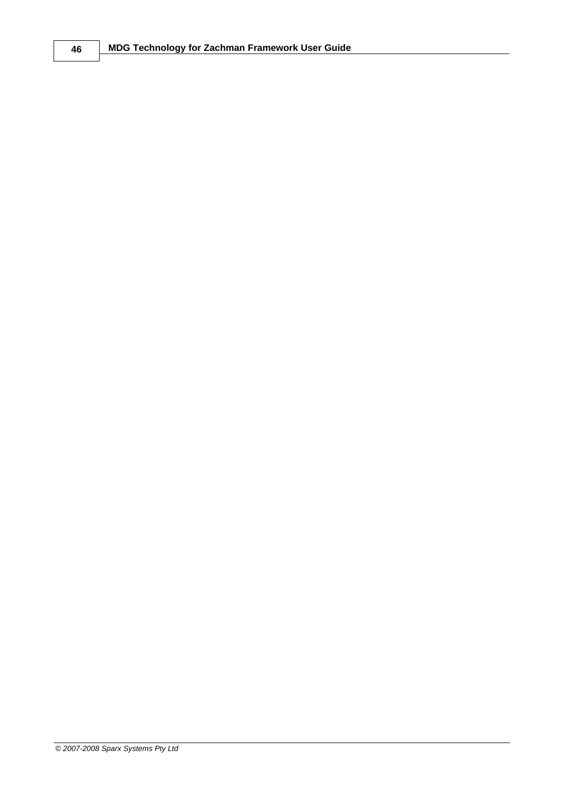*© 2007-2008 Sparx Systems Pty Ltd*